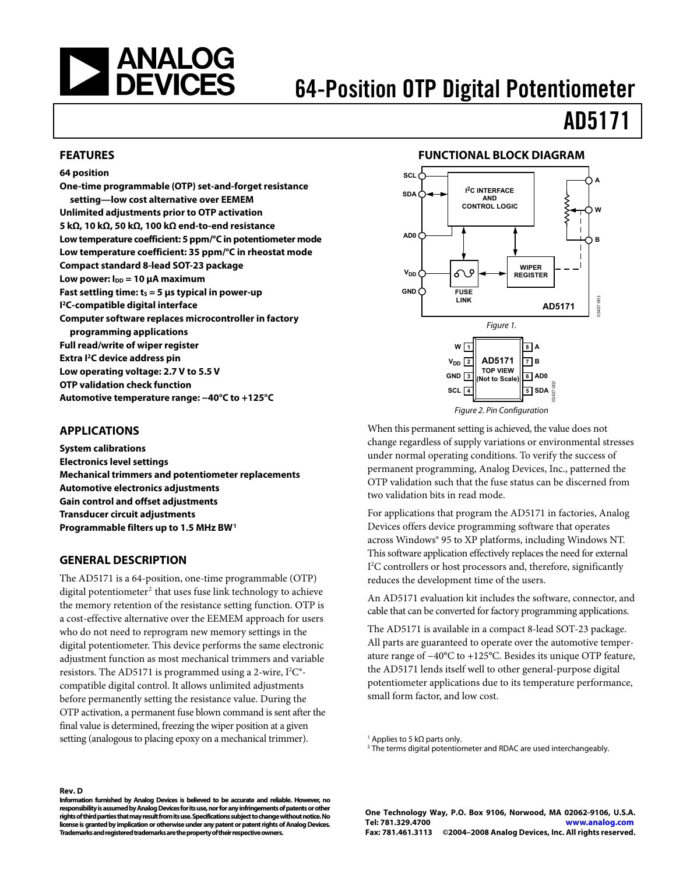<span id="page-0-0"></span>

# 64-Position OTP Digital Potentiometer

# AD5171

#### **FEATURES**

### **64 position**

**One-time programmable (OTP) set-and-forget resistance setting—low cost alternative over EEMEM Unlimited adjustments prior to OTP activation 5 kΩ, 10 kΩ, 50 kΩ, 100 kΩ end-to-end resistance Low temperature coefficient: 5 ppm/°C in potentiometer mode Low temperature coefficient: 35 ppm/°C in rheostat mode Compact standard 8-lead SOT-23 package Low power: I<sub>DD</sub> = 10 μA maximum Fast settling time: ts = 5 μs typical in power-up I 2C-compatible digital interface Computer software replaces microcontroller in factory programming applications Full read/write of wiper register Extra I2C device address pin Low operating voltage: 2.7 V to 5.5 V OTP validation check function Automotive temperature range: −40°C to +125°C** 

#### **APPLICATIONS**

**System calibrations Electronics level settings Mechanical trimmers and potentiometer replacements Automotive electronics adjustments Gain control and offset adjustments Transducer circuit adjustments Programmable filters up to 1.5 MHz BW1** 

#### **GENERAL DESCRIPTION**

**Rev. D** 

The AD5171 is a 64-position, one-time programmable (OTP) digital potentiometer<sup>2</sup> that uses fuse link technology to achieve the memory retention of the resistance setting function. OTP is a cost-effective alternative over the EEMEM approach for users who do not need to reprogram new memory settings in the digital potentiometer. This device performs the same electronic adjustment function as most mechanical trimmers and variable resistors. The AD5171 is programmed using a 2-wire, I<sup>2</sup>C®compatible digital control. It allows unlimited adjustments before permanently setting the resistance value. During the OTP activation, a permanent fuse blown command is sent after the final value is determined, freezing the wiper position at a given setting (analogous to placing epoxy on a mechanical trimmer).

#### **FUNCTIONAL BLOCK DIAGRAM**



When this permanent setting is achieved, the value does not change regardless of supply variations or environmental stresses under normal operating conditions. To verify the success of permanent programming, Analog Devices, Inc., patterned the OTP validation such that the fuse status can be discerned from two validation bits in read mode.

For applications that program the AD5171 in factories, Analog Devices offers device programming software that operates across Windows® 95 to XP platforms, including Windows NT. This software application effectively replaces the need for external I<sup>2</sup>C controllers or host processors and, therefore, significantly reduces the development time of the users.

An AD5171 evaluation kit includes the software, connector, and cable that can be converted for factory programming applications.

The AD5171 is available in a compact 8-lead SOT-23 package. All parts are guaranteed to operate over the automotive temperature range of −40°C to +125°C. Besides its unique OTP feature, the AD5171 lends itself well to other general-purpose digital potentiometer applications due to its temperature performance, small form factor, and low cost.

<sup>1</sup> Applies to 5 kΩ parts only.

**Information furnished by Analog Devices is believed to be accurate and reliable. However, no responsibility is assumed by Analog Devices for its use, nor for any infringements of patents or other rights of third parties that may result from its use. Specifications subject to change without notice. No license is granted by implication or otherwise under any patent or patent rights of Analog Devices. Trademarks and registered trademarks are the property of their respective owners.** 

<sup>&</sup>lt;sup>2</sup> The terms digital potentiometer and RDAC are used interchangeably.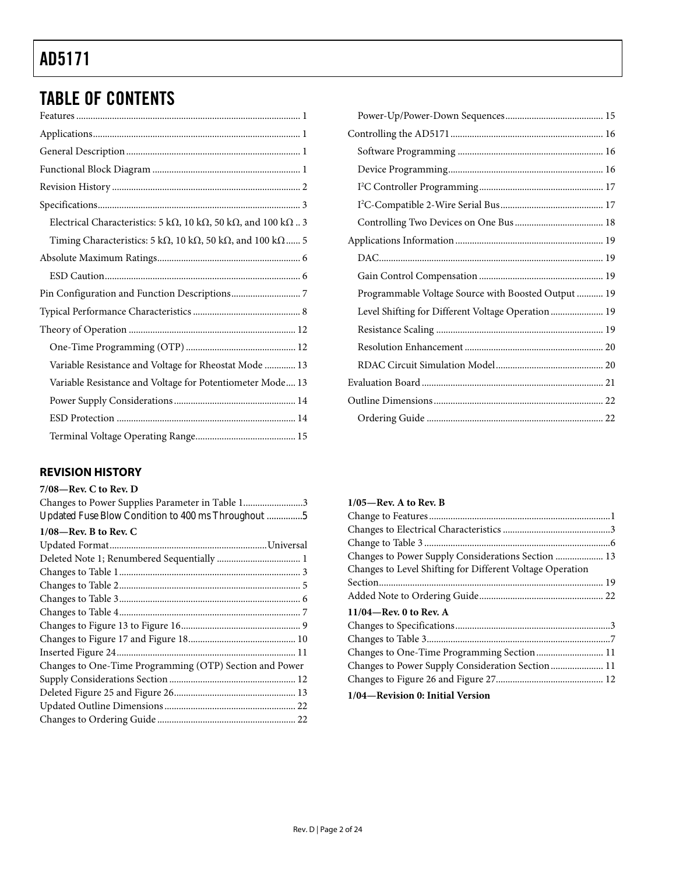# <span id="page-1-0"></span>TABLE OF CONTENTS

| Electrical Characteristics: 5 k $\Omega$ , 10 k $\Omega$ , 50 k $\Omega$ , and 100 k $\Omega$ 3    |
|----------------------------------------------------------------------------------------------------|
| Timing Characteristics: $5 \text{ k}\Omega$ , 10 k $\Omega$ , 50 k $\Omega$ , and 100 k $\Omega$ 5 |
|                                                                                                    |
|                                                                                                    |
|                                                                                                    |
|                                                                                                    |
|                                                                                                    |
|                                                                                                    |
| Variable Resistance and Voltage for Rheostat Mode  13                                              |
| Variable Resistance and Voltage for Potentiometer Mode 13                                          |
|                                                                                                    |
|                                                                                                    |
|                                                                                                    |

### **REVISION HISTORY**

### **7/08—Rev. C to Rev. D**

| Changes to Power Supplies Parameter in Table 13         |
|---------------------------------------------------------|
| Updated Fuse Blow Condition to 400 ms Throughout 5      |
| $1/08$ —Rev. B to Rev. C                                |
|                                                         |
|                                                         |
|                                                         |
|                                                         |
|                                                         |
|                                                         |
|                                                         |
|                                                         |
|                                                         |
| Changes to One-Time Programming (OTP) Section and Power |
|                                                         |
|                                                         |
|                                                         |
|                                                         |

| Programmable Voltage Source with Boosted Output  19 |  |
|-----------------------------------------------------|--|
| Level Shifting for Different Voltage Operation 19   |  |
|                                                     |  |
|                                                     |  |
|                                                     |  |
|                                                     |  |
|                                                     |  |
|                                                     |  |
|                                                     |  |

| $1/05$ —Rev. A to Rev. B                                  |
|-----------------------------------------------------------|
|                                                           |
|                                                           |
|                                                           |
|                                                           |
| Changes to Level Shifting for Different Voltage Operation |
|                                                           |
|                                                           |
| $11/04$ —Rev. 0 to Rev. A                                 |
|                                                           |
|                                                           |
| Changes to One-Time Programming Section  11               |
|                                                           |
|                                                           |
| 1/04—Revision 0: Initial Version                          |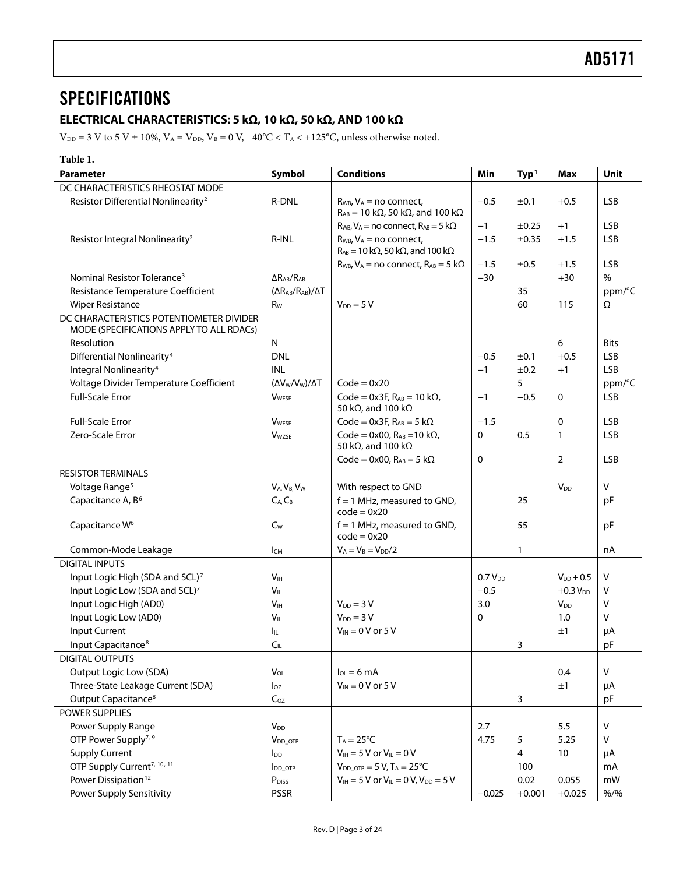### <span id="page-2-0"></span>**SPECIFICATIONS**

### **ELECTRICAL CHARACTERISTICS: 5 kΩ, 10 kΩ, 50 kΩ, AND 100 kΩ**

 $\rm{V}_{\rm{DD}}$  = 3 V to 5 V ± 10%,  $\rm{V_A}$  = V $\rm{_{DD},}$   $\rm{V_B}$  = 0 V,  $-40^o\rm{C} < T_A < +125^o\rm{C},$  unless otherwise noted.

| Table 1.                                                                             |                                           |                                                                                                 |              |                  |                       |             |
|--------------------------------------------------------------------------------------|-------------------------------------------|-------------------------------------------------------------------------------------------------|--------------|------------------|-----------------------|-------------|
| <b>Parameter</b>                                                                     | Symbol                                    | <b>Conditions</b>                                                                               | Min          | Typ <sup>1</sup> | <b>Max</b>            | Unit        |
| DC CHARACTERISTICS RHEOSTAT MODE                                                     |                                           |                                                                                                 |              |                  |                       |             |
| Resistor Differential Nonlinearity <sup>2</sup>                                      | <b>R-DNL</b>                              | $R_{WB}$ , $V_A$ = no connect,                                                                  | $-0.5$       | ±0.1             | $+0.5$                | <b>LSB</b>  |
|                                                                                      |                                           | $R_{AB}$ = 10 k $\Omega$ , 50 k $\Omega$ , and 100 k $\Omega$                                   |              |                  |                       |             |
|                                                                                      |                                           | $R_{WB}$ , $V_A$ = no connect, $R_{AB}$ = 5 k $\Omega$                                          | $-1$         | $\pm 0.25$       | $+1$                  | <b>LSB</b>  |
| Resistor Integral Nonlinearity <sup>2</sup>                                          | R-INL                                     | $R_{WB}$ , $V_A$ = no connect,<br>$R_{AB}$ = 10 k $\Omega$ , 50 k $\Omega$ , and 100 k $\Omega$ | $-1.5$       | ±0.35            | $+1.5$                | <b>LSB</b>  |
|                                                                                      |                                           | $R_{WB}$ , $V_A$ = no connect, $R_{AB}$ = 5 k $\Omega$                                          | $-1.5$       | ±0.5             | $+1.5$                | <b>LSB</b>  |
| Nominal Resistor Tolerance <sup>3</sup>                                              | $\Delta$ R <sub>AB</sub> /R <sub>AB</sub> |                                                                                                 | $-30$        |                  | $+30$                 | $\%$        |
| Resistance Temperature Coefficient                                                   | $(\Delta R_{AB}/R_{AB})/\Delta T$         |                                                                                                 |              | 35               |                       | ppm/°C      |
| <b>Wiper Resistance</b>                                                              | R <sub>w</sub>                            | $V_{DD} = 5 V$                                                                                  |              | 60               | 115                   | Ω           |
| DC CHARACTERISTICS POTENTIOMETER DIVIDER<br>MODE (SPECIFICATIONS APPLY TO ALL RDACs) |                                           |                                                                                                 |              |                  |                       |             |
| Resolution                                                                           | N                                         |                                                                                                 |              |                  | 6                     | <b>Bits</b> |
| Differential Nonlinearity <sup>4</sup>                                               | <b>DNL</b>                                |                                                                                                 | $-0.5$       | ±0.1             | $+0.5$                | <b>LSB</b>  |
| Integral Nonlinearity <sup>4</sup>                                                   | <b>INL</b>                                |                                                                                                 | $-1$         | ±0.2             | $+1$                  | <b>LSB</b>  |
| Voltage Divider Temperature Coefficient                                              | $(\Delta V_{W}/V_{W})/\Delta T$           | $Code = 0x20$                                                                                   |              | 5                |                       | ppm/°C      |
| <b>Full-Scale Error</b>                                                              | <b>V</b> WFSE                             | Code = $0x3F$ , $R_{AB} = 10 k\Omega$ ,<br>50 k $\Omega$ , and 100 k $\Omega$                   | $-1$         | $-0.5$           | 0                     | <b>LSB</b>  |
| Full-Scale Error                                                                     | <b>V</b> WFSE                             | Code = $0x3F$ , $R_{AB} = 5 k\Omega$                                                            | $-1.5$       |                  | 0                     | <b>LSB</b>  |
| Zero-Scale Error                                                                     | <b>V</b> <sub>wzse</sub>                  | Code = $0x00$ , $R_{AB} = 10 k\Omega$ ,<br>50 k $\Omega$ , and 100 k $\Omega$                   | 0            | 0.5              | $\mathbf{1}$          | <b>LSB</b>  |
|                                                                                      |                                           | Code = $0x00$ , $R_{AB} = 5 k\Omega$                                                            | 0            |                  | $\overline{2}$        | <b>LSB</b>  |
| <b>RESISTOR TERMINALS</b>                                                            |                                           |                                                                                                 |              |                  |                       |             |
| Voltage Range <sup>5</sup>                                                           | $V_A, V_B, V_W$                           | With respect to GND                                                                             |              |                  | <b>V<sub>DD</sub></b> | V           |
| Capacitance A, B <sup>6</sup>                                                        | $C_A, C_B$                                | $f = 1$ MHz, measured to GND,                                                                   |              | 25               |                       | pF          |
|                                                                                      |                                           | $code = 0x20$                                                                                   |              |                  |                       |             |
| Capacitance W <sup>6</sup>                                                           | $C_W$                                     | $f = 1$ MHz, measured to GND,<br>$code = 0x20$                                                  |              | 55               |                       | pF          |
| Common-Mode Leakage                                                                  | Iсм                                       | $V_A = V_B = V_{DD}/2$                                                                          |              | $\mathbf{1}$     |                       | nA          |
| <b>DIGITAL INPUTS</b>                                                                |                                           |                                                                                                 |              |                  |                       |             |
| Input Logic High (SDA and SCL) <sup>7</sup>                                          | V <sub>IH</sub>                           |                                                                                                 | $0.7 V_{DD}$ |                  | $V_{DD} + 0.5$        | V           |
| Input Logic Low (SDA and SCL)7                                                       | $V_{IL}$                                  |                                                                                                 | $-0.5$       |                  | $+0.3 VDD$            | V           |
| Input Logic High (AD0)                                                               | V <sub>IH</sub>                           | $V_{DD} = 3 V$                                                                                  | 3.0          |                  | $V_{DD}$              | V           |
| Input Logic Low (AD0)                                                                | $V_{IL}$                                  | $V_{DD} = 3 V$                                                                                  | 0            |                  | 1.0                   | V           |
| <b>Input Current</b>                                                                 | Ιm.                                       | $V_{IN}$ = 0 V or 5 V                                                                           |              |                  | ±1                    | μA          |
| Input Capacitance <sup>8</sup>                                                       | C <sub>IL</sub>                           |                                                                                                 |              | 3                |                       | pF          |
| <b>DIGITAL OUTPUTS</b>                                                               |                                           |                                                                                                 |              |                  |                       |             |
| Output Logic Low (SDA)                                                               | $V_{OL}$                                  | $I_{OL} = 6 \text{ mA}$                                                                         |              |                  | 0.4                   | V           |
| Three-State Leakage Current (SDA)                                                    | $I_{OZ}$                                  | $V_{IN}$ = 0 V or 5 V                                                                           |              |                  | ±1                    | μA          |
| Output Capacitance <sup>8</sup>                                                      | $C_{OZ}$                                  |                                                                                                 |              | 3                |                       | pF          |
| POWER SUPPLIES                                                                       |                                           |                                                                                                 |              |                  |                       |             |
| Power Supply Range                                                                   | <b>V</b> <sub>DD</sub>                    |                                                                                                 | 2.7          |                  | 5.5                   | V           |
| OTP Power Supply <sup>7, 9</sup>                                                     | V <sub>DD</sub> OTP                       | $T_A = 25^{\circ}C$                                                                             | 4.75         | 5                | 5.25                  | V           |
| <b>Supply Current</b>                                                                | <b>l</b> <sub>DD</sub>                    | $V_{IH}$ = 5 V or $V_{IL}$ = 0 V                                                                |              | 4                | 10                    | μA          |
| OTP Supply Current <sup>7, 10, 11</sup>                                              | <b>IDD_OTP</b>                            | $V_{DD\_OTP} = 5 V$ , $T_A = 25^{\circ}C$                                                       |              | 100              |                       | mA          |
| Power Dissipation <sup>12</sup>                                                      | P <sub>DISS</sub>                         | $V_{IH} = 5 V$ or $V_{IL} = 0 V$ , $V_{DD} = 5 V$                                               |              | 0.02             | 0.055                 | mW          |
| Power Supply Sensitivity                                                             | <b>PSSR</b>                               |                                                                                                 | $-0.025$     | $+0.001$         | $+0.025$              | $% /$ %     |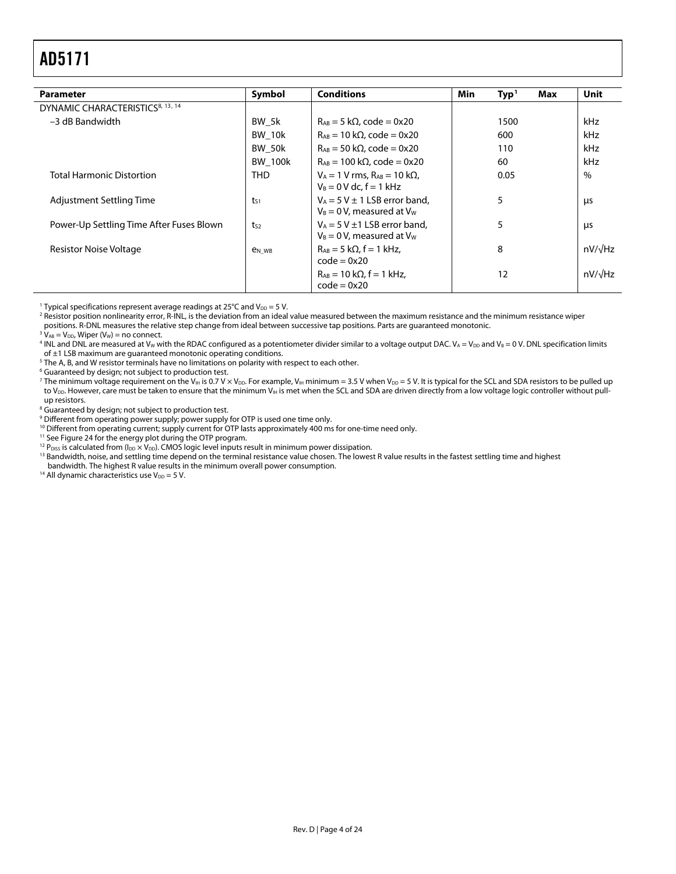<span id="page-3-0"></span>

| <b>Parameter</b>                             | Symbol                   | <b>Conditions</b>                                                       | Min  | Type <sup>1</sup> | Max | Unit           |
|----------------------------------------------|--------------------------|-------------------------------------------------------------------------|------|-------------------|-----|----------------|
|                                              |                          |                                                                         |      |                   |     |                |
| DYNAMIC CHARACTERISTICS <sup>8, 13, 14</sup> |                          |                                                                         |      |                   |     |                |
| -3 dB Bandwidth                              | BW 5k                    | $R_{AB} = 5 k\Omega$ , code = 0x20                                      |      | 1500              |     | kHz            |
|                                              | BW 10k                   | $R_{AB}$ = 10 k $\Omega$ , code = 0x20                                  |      | 600               |     | kHz            |
|                                              | <b>BW 50k</b>            | $R_{AB}$ = 50 k $\Omega$ , code = 0x20                                  |      | 110               |     | kHz            |
|                                              | <b>BW 100k</b>           | $R_{AB} = 100 \text{ k}\Omega$ , code = 0x20                            |      | 60                |     | kHz            |
| <b>Total Harmonic Distortion</b>             | <b>THD</b>               | $V_A = 1 V$ rms. $R_{AB} = 10 k\Omega$ .<br>$V_B = 0$ V dc. $f = 1$ kHz | 0.05 |                   |     | $\%$           |
| Adjustment Settling Time                     | $t_{S1}$                 | $V_A = 5 V \pm 1$ LSB error band.<br>$V_B = 0 V$ , measured at $V_W$    |      | 5                 |     | μs             |
| Power-Up Settling Time After Fuses Blown     | $t_{S2}$                 | $V_A = 5 V \pm 1$ LSB error band.<br>$V_B = 0$ V, measured at $V_W$     |      | 5                 |     | μs             |
| Resistor Noise Voltage                       | <b>e</b> <sub>N</sub> WB | $R_{AB} = 5 k\Omega$ , f = 1 kHz,<br>$code = 0x20$                      |      | 8                 |     | nV/√Hz         |
|                                              |                          | $R_{AB} = 10 k\Omega$ , f = 1 kHz,<br>$code = 0x20$                     |      | 12                |     | $nV/\sqrt{Hz}$ |

<sup>1</sup> Typical specifications represent average readings at  $25^{\circ}$ C and  $V_{DD} = 5$  V.

<sup>1</sup> Typical specifications represent average readings at 25°C and V<sub>DD</sub> = 5 V.<br><sup>2</sup> Resistor position nonlinearity error, R-INL, is the deviation from an ideal value measured between the maximum resistance minimum resistan positions. R-DNL measures the relative step change from ideal between successive tap positions. Parts are guaranteed monotonic.

 $^3$  V<sub>AB</sub> = V<sub>DD</sub>, Wiper (V<sub>W</sub>) = no connect.<br><sup>4</sup> INL and DNL are measured at V<sub>w M</sub>i

<sup>4</sup> INL and DNL are measured at V<sub>W</sub> with the RDAC configured as a potentiometer divider similar to a voltage output DAC. V<sub>A</sub> = V<sub>DD</sub> and V<sub>B</sub> = 0 V. DNL specification limits

of  $\pm$ 1 LSB maximum are guaranteed monotonic operating conditions.

<sup>5</sup> The A, B, and W resistor terminals have no limitations on polarity with respect to each other.

<sup>6</sup> Guaranteed by design; not subject to production test.

 $^7$  The minimum voltage requirement on the V $_{\rm H}$  is 0.7 V × V $_{\rm DD}$ . For example, V $_{\rm H}$  minimum = 3.5 V when V $_{\rm DD}$  = 5 V. It is typical for the SCL and SDA resistors to be pulled up to V<sub>DD</sub>. However, care must be taken to ensure that the minimum V<sub>IH</sub> is met when the SCL and SDA are driven directly from a low voltage logic controller without pullup resistors.

<sup>8</sup> Guaranteed by design; not subject to production test.

<sup>9</sup> Different from operating power supply; power supply for OTP is used one time only.

<sup>10</sup> Different from operating current; supply current for OTP lasts approximately 400 ms for one-time need only.<br><sup>11</sup> See Figure 24 for the energy plot during the OTP program.<br><sup>12</sup> P<sub>DISS</sub> is calculated from (I<sub>DD</sub> × V<sub>DD</sub>

<sup>13</sup> Bandwidth, noise, and settling time depend on the terminal resistance value chosen. The lowest R value results in the fastest settling time and highest bandwidth. The highest R value results in the minimum overall power consumption. 1<sup>4</sup> All dynamic characteristics use V<sub>DD</sub> = 5 V.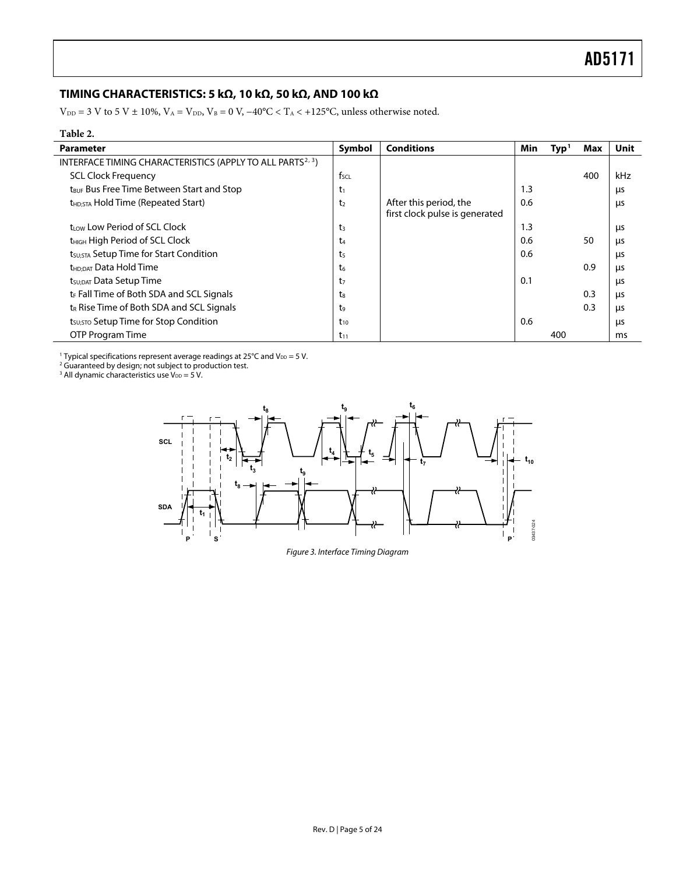### <span id="page-4-0"></span>**TIMING CHARACTERISTICS: 5 kΩ, 10 kΩ, 50 kΩ, AND 100 kΩ**

 $V_{\text{DD}} = 3$  V to 5 V ± 10%,  $V_A = V_{\text{DD}}$ ,  $V_B = 0$  V,  $-40^{\circ}\text{C} < T_A < +125^{\circ}\text{C}$ , unless otherwise noted.

| Table 2.                                                               |                  |                                                          |     |                  |     |      |
|------------------------------------------------------------------------|------------------|----------------------------------------------------------|-----|------------------|-----|------|
| <b>Parameter</b>                                                       | Symbol           | <b>Conditions</b>                                        | Min | $\mathbf{Typ}^1$ | Max | Unit |
| INTERFACE TIMING CHARACTERISTICS (APPLY TO ALL PARTS <sup>2, 3</sup> ) |                  |                                                          |     |                  |     |      |
| <b>SCL Clock Frequency</b>                                             | $f_{\text{SCL}}$ |                                                          |     |                  | 400 | kHz  |
| t <sub>BUF</sub> Bus Free Time Between Start and Stop                  | $t_1$            |                                                          | 1.3 |                  |     | μs   |
| t <sub>HD:STA</sub> Hold Time (Repeated Start)                         | t <sub>2</sub>   | After this period, the<br>first clock pulse is generated | 0.6 |                  |     | μs   |
| trow Low Period of SCL Clock                                           | t3               |                                                          | 1.3 |                  |     | μs   |
| t <sub>HIGH</sub> High Period of SCL Clock                             | t4               |                                                          | 0.6 |                  | 50  | μs   |
| t <sub>SU;STA</sub> Setup Time for Start Condition                     | ts               |                                                          | 0.6 |                  |     | μs   |
| t <sub>HD:DAT</sub> Data Hold Time                                     | t.               |                                                          |     |                  | 0.9 | μs   |
| t <sub>SU;DAT</sub> Data Setup Time                                    | t7               |                                                          | 0.1 |                  |     | μs   |
| $t_F$ Fall Time of Both SDA and SCL Signals                            | tg               |                                                          |     |                  | 0.3 | μs   |
| t <sub>R</sub> Rise Time of Both SDA and SCL Signals                   | t,               |                                                          |     |                  | 0.3 | μs   |
| t <sub>su:STO</sub> Setup Time for Stop Condition                      | $t_{10}$         |                                                          | 0.6 |                  |     | μs   |
| OTP Program Time                                                       | $t_{11}$         |                                                          |     | 400              |     | ms   |

<sup>1</sup> Typical specifications represent average readings at 25°C and V<sub>DD</sub> = 5 V.<br><sup>2</sup> Guaranteed by design; not subject to production test.<br><sup>3</sup> All dynamic characteristics use V<sub>DD</sub> = 5 V.



Figure 3. Interface Timing Diagram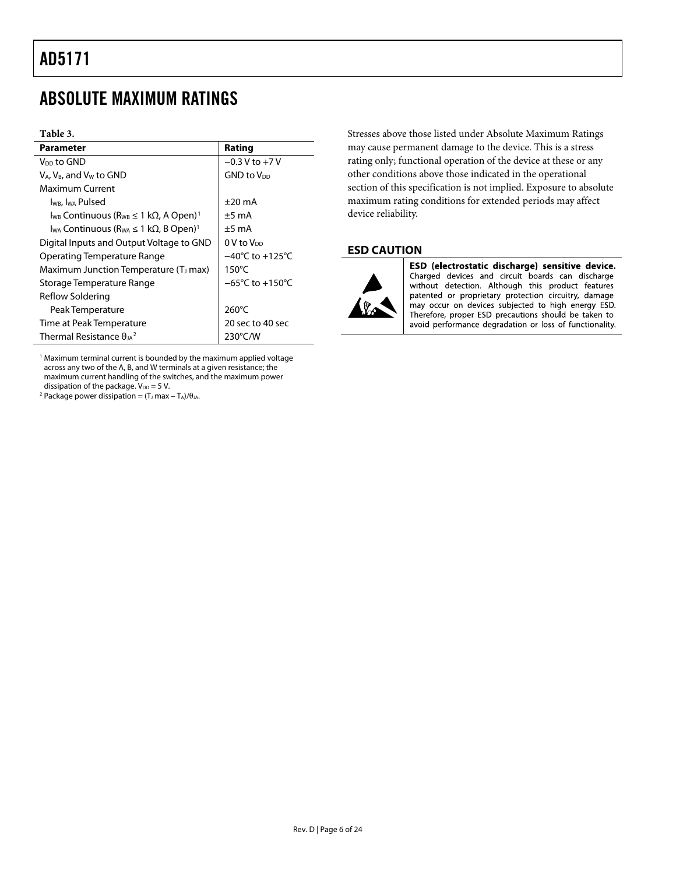### <span id="page-5-0"></span>ABSOLUTE MAXIMUM RATINGS

#### **Table 3.**

| Parameter                                                                              | Rating                               |
|----------------------------------------------------------------------------------------|--------------------------------------|
| V <sub>DD</sub> to GND                                                                 | $-0.3$ V to $+7$ V                   |
| $V_A$ , $V_B$ , and $V_W$ to GND                                                       | <b>GND to V<sub>DD</sub></b>         |
| Maximum Current                                                                        |                                      |
| I <sub>WB</sub> , I <sub>WA</sub> Pulsed                                               | $\pm 20$ mA                          |
| $I_{WB}$ Continuous ( $R_{WB} \leq 1$ k $\Omega$ , A Open) <sup>1</sup>                | $+5 \text{ mA}$                      |
| I <sub>wa</sub> Continuous (R <sub>wa</sub> $\leq 1$ k $\Omega$ , B Open) <sup>1</sup> | $\pm 5$ mA                           |
| Digital Inputs and Output Voltage to GND                                               | $0V$ to $V_{DD}$                     |
| Operating Temperature Range                                                            | $-40^{\circ}$ C to $+125^{\circ}$ C  |
| Maximum Junction Temperature (T <sub>J</sub> max)                                      | $150^{\circ}$ C                      |
| Storage Temperature Range                                                              | $-65^{\circ}$ C to +150 $^{\circ}$ C |
| Reflow Soldering                                                                       |                                      |
| Peak Temperature                                                                       | $260^{\circ}$ C                      |
| Time at Peak Temperature                                                               | 20 sec to 40 sec                     |
| Thermal Resistance $\theta_{1A}^2$                                                     | $230^{\circ}$ C/W                    |

<sup>1</sup> Maximum terminal current is bounded by the maximum applied voltage across any two of the A, B, and W terminals at a given resistance; the maximum current handling of the switches, and the maximum power dissipation of the package.  $V_{DD} = 5$  V.

<span id="page-5-1"></span><sup>2</sup> Package power dissipation =  $(T_J$  max -  $T_A$ )/ $\theta_{JA}$ .

Stresses above those listed under Absolute Maximum Ratings may cause permanent damage to the device. This is a stress rating only; functional operation of the device at these or any other conditions above those indicated in the operational section of this specification is not implied. Exposure to absolute maximum rating conditions for extended periods may affect device reliability.

### **ESD CAUTION**



ESD (electrostatic discharge) sensitive device. Charged devices and circuit boards can discharge without detection. Although this product features patented or proprietary protection circuitry, damage may occur on devices subjected to high energy ESD. Therefore, proper ESD precautions should be taken to avoid performance degradation or loss of functionality.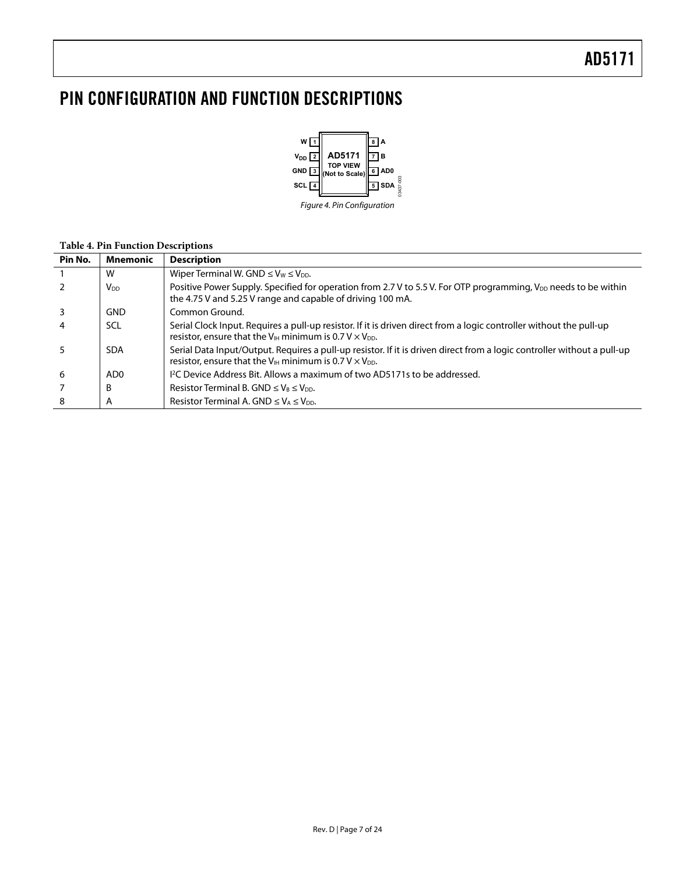### <span id="page-6-0"></span>PIN CONFIGURATION AND FUNCTION DESCRIPTIONS



#### **Table 4. Pin Function Descriptions**

| Pin No. | <b>Mnemonic</b>        | <b>Description</b>                                                                                                                                                                                          |
|---------|------------------------|-------------------------------------------------------------------------------------------------------------------------------------------------------------------------------------------------------------|
|         | W                      | Wiper Terminal W. GND $\leq$ V <sub>W</sub> $\leq$ V <sub>DD</sub> .                                                                                                                                        |
|         | <b>V</b> <sub>DD</sub> | Positive Power Supply. Specified for operation from 2.7 V to 5.5 V. For OTP programming, V <sub>DD</sub> needs to be within<br>the 4.75 V and 5.25 V range and capable of driving 100 mA.                   |
|         | GND                    | Common Ground.                                                                                                                                                                                              |
|         | <b>SCL</b>             | Serial Clock Input. Requires a pull-up resistor. If it is driven direct from a logic controller without the pull-up<br>resistor, ensure that the $V_{\text{H}}$ minimum is 0.7 V $\times$ $V_{\text{DD}}$ . |
|         | <b>SDA</b>             | Serial Data Input/Output. Requires a pull-up resistor. If it is driven direct from a logic controller without a pull-up<br>resistor, ensure that the $V_{IH}$ minimum is 0.7 V $\times$ V <sub>DD</sub> .   |
| -6      | AD0                    | <sup>12</sup> C Device Address Bit. Allows a maximum of two AD5171s to be addressed.                                                                                                                        |
|         | B                      | Resistor Terminal B. GND $\leq$ V <sub>B</sub> $\leq$ V <sub>DD</sub> .                                                                                                                                     |
| 8       | A                      | Resistor Terminal A. GND $\leq$ V <sub>A</sub> $\leq$ V <sub>pp</sub> .                                                                                                                                     |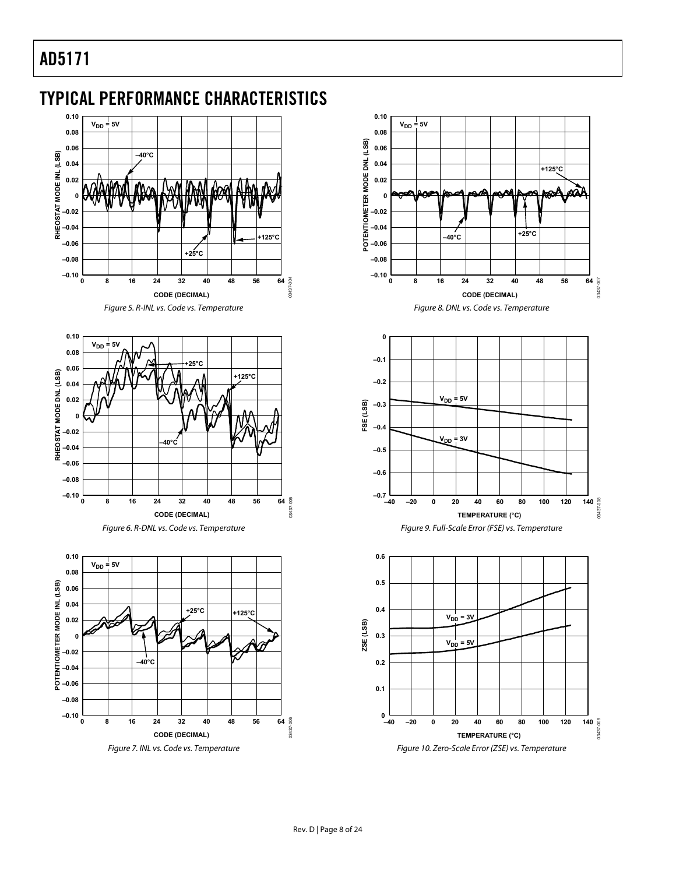<span id="page-7-0"></span>TYPICAL PERFORMANCE CHARACTERISTICS



Figure 5. R-INL vs. Code vs. Temperature







Figure 7. INL vs. Code vs. Temperature





Figure 10. Zero-Scale Error (ZSE) vs. Temperature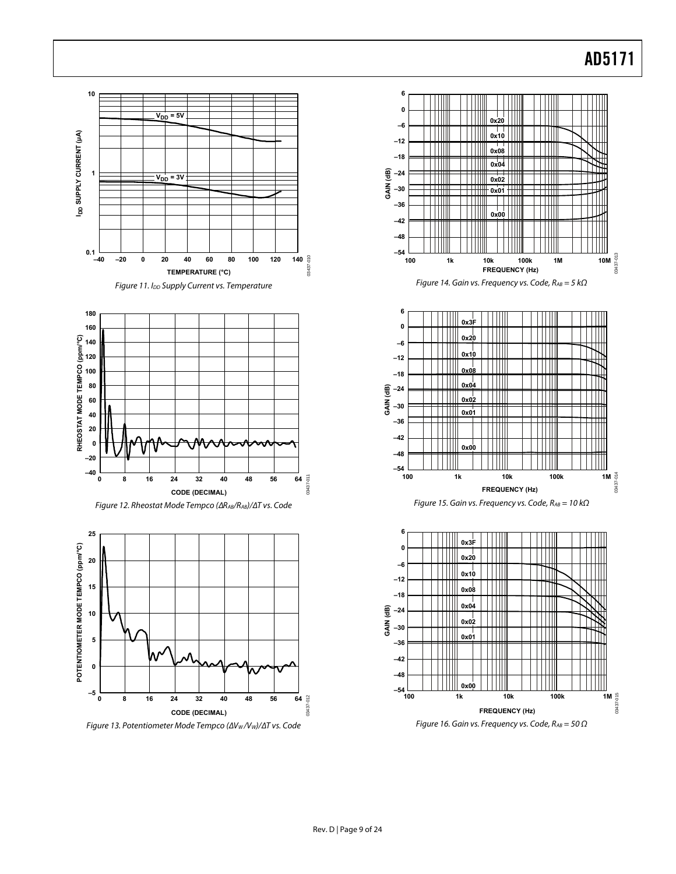<span id="page-8-0"></span>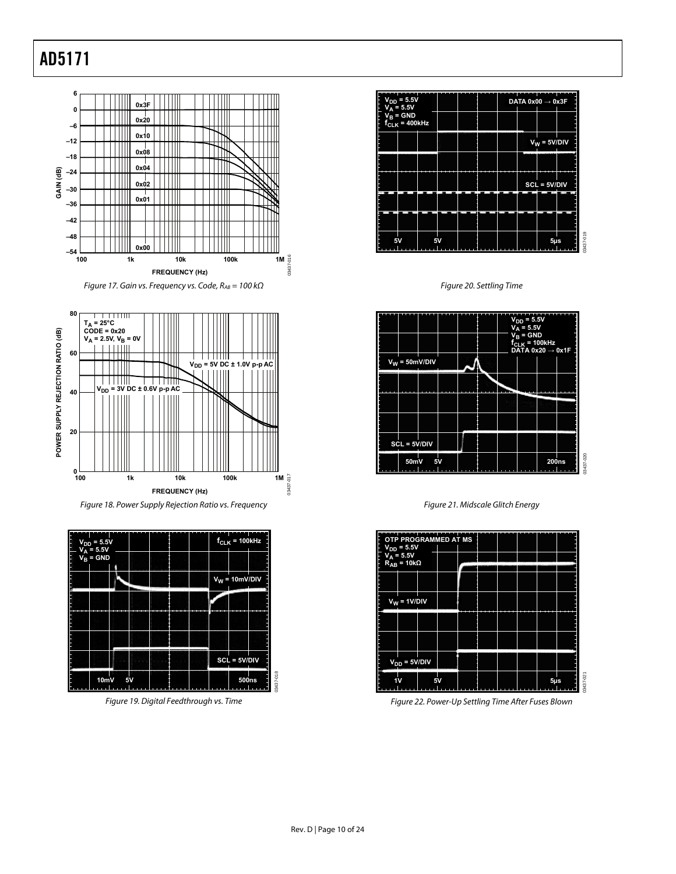

<span id="page-9-0"></span>





Figure 19. Digital Feedthrough vs. Time



Figure 20. Settling Time



Figure 21. Midscale Glitch Energy



Figure 22. Power-Up Settling Time After Fuses Blown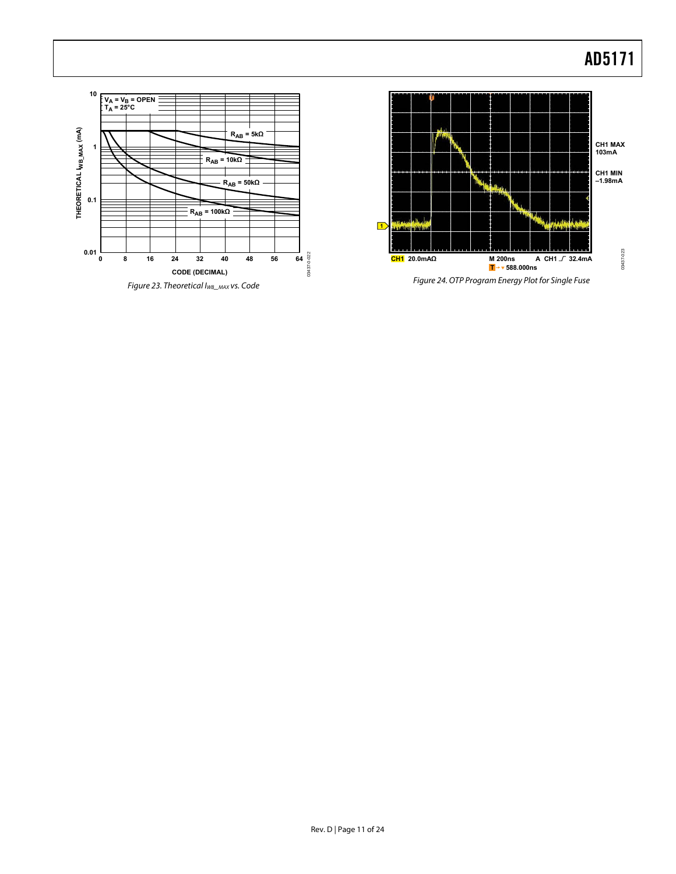

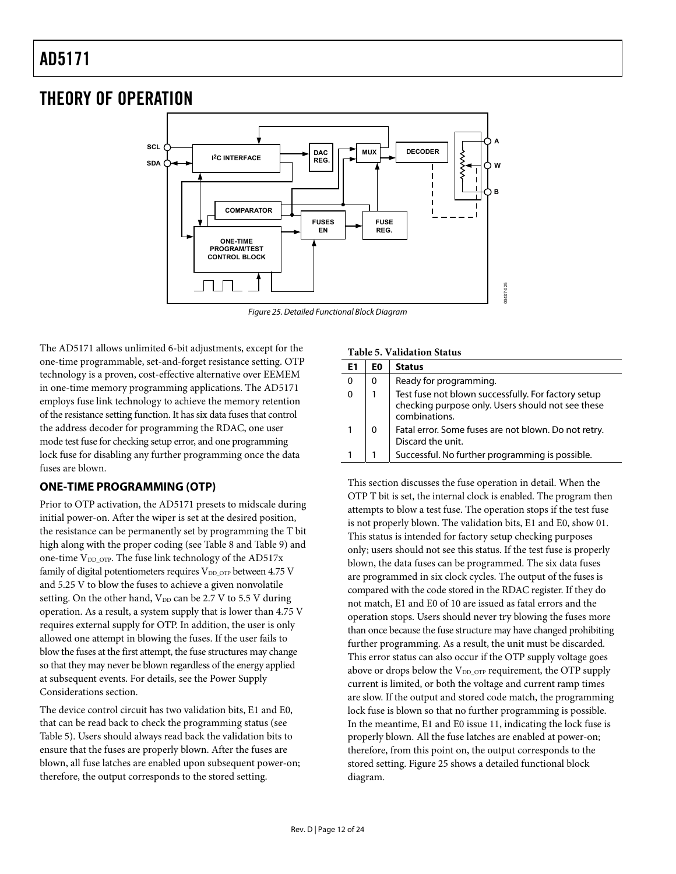### <span id="page-11-0"></span>THEORY OF OPERATION



Figure 25. Detailed Functional Block Diagram

<span id="page-11-2"></span><span id="page-11-1"></span>The AD5171 allows unlimited 6-bit adjustments, except for the one-time programmable, set-and-forget resistance setting. OTP technology is a proven, cost-effective alternative over EEMEM in one-time memory programming applications. The AD5171 employs fuse link technology to achieve the memory retention of the resistance setting function. It has six data fuses that control the address decoder for programming the RDAC, one user mode test fuse for checking setup error, and one programming lock fuse for disabling any further programming once the data fuses are blown.

### **ONE-TIME PROGRAMMING (OTP)**

Prior to OTP activation, the AD5171 presets to midscale during initial power-on. After the wiper is set at the desired position, the resistance can be permanently set by programming the T bit high along with the proper coding (see [Table 8](#page-15-1) and [Table 9](#page-15-2)) and one-time  $V_{DD\_OTP}$ . The fuse link technology of the AD517x family of digital potentiometers requires  $V_{DD\_OTP}$  between 4.75 V and 5.25 V to blow the fuses to achieve a given nonvolatile setting. On the other hand,  $V_{DD}$  can be 2.7 V to 5.5 V during operation. As a result, a system supply that is lower than 4.75 V requires external supply for OTP. In addition, the user is only allowed one attempt in blowing the fuses. If the user fails to blow the fuses at the first attempt, the fuse structures may change so that they may never be blown regardless of the energy applied at subsequent events. For details, see the [Power Supply](#page-13-1)  [Considerations](#page-13-1) section.

The device control circuit has two validation bits, E1 and E0, that can be read back to check the programming status (see [Table 5](#page-11-1)). Users should always read back the validation bits to ensure that the fuses are properly blown. After the fuses are blown, all fuse latches are enabled upon subsequent power-on; therefore, the output corresponds to the stored setting.

#### **Table 5. Validation Status**

| F1 | EΟ | <b>Status</b>                                                                                                             |  |  |  |  |
|----|----|---------------------------------------------------------------------------------------------------------------------------|--|--|--|--|
|    | 0  | Ready for programming.                                                                                                    |  |  |  |  |
|    |    | Test fuse not blown successfully. For factory setup<br>checking purpose only. Users should not see these<br>combinations. |  |  |  |  |
|    |    | Fatal error. Some fuses are not blown. Do not retry.<br>Discard the unit.                                                 |  |  |  |  |
|    |    | Successful. No further programming is possible.                                                                           |  |  |  |  |

This section discusses the fuse operation in detail. When the OTP T bit is set, the internal clock is enabled. The program then attempts to blow a test fuse. The operation stops if the test fuse is not properly blown. The validation bits, E1 and E0, show 01. This status is intended for factory setup checking purposes only; users should not see this status. If the test fuse is properly blown, the data fuses can be programmed. The six data fuses are programmed in six clock cycles. The output of the fuses is compared with the code stored in the RDAC register. If they do not match, E1 and E0 of 10 are issued as fatal errors and the operation stops. Users should never try blowing the fuses more than once because the fuse structure may have changed prohibiting further programming. As a result, the unit must be discarded. This error status can also occur if the OTP supply voltage goes above or drops below the V<sub>DD\_OTP</sub> requirement, the OTP supply current is limited, or both the voltage and current ramp times are slow. If the output and stored code match, the programming lock fuse is blown so that no further programming is possible. In the meantime, E1 and E0 issue 11, indicating the lock fuse is properly blown. All the fuse latches are enabled at power-on; therefore, from this point on, the output corresponds to the stored setting. [Figure 25](#page-11-2) shows a detailed functional block diagram.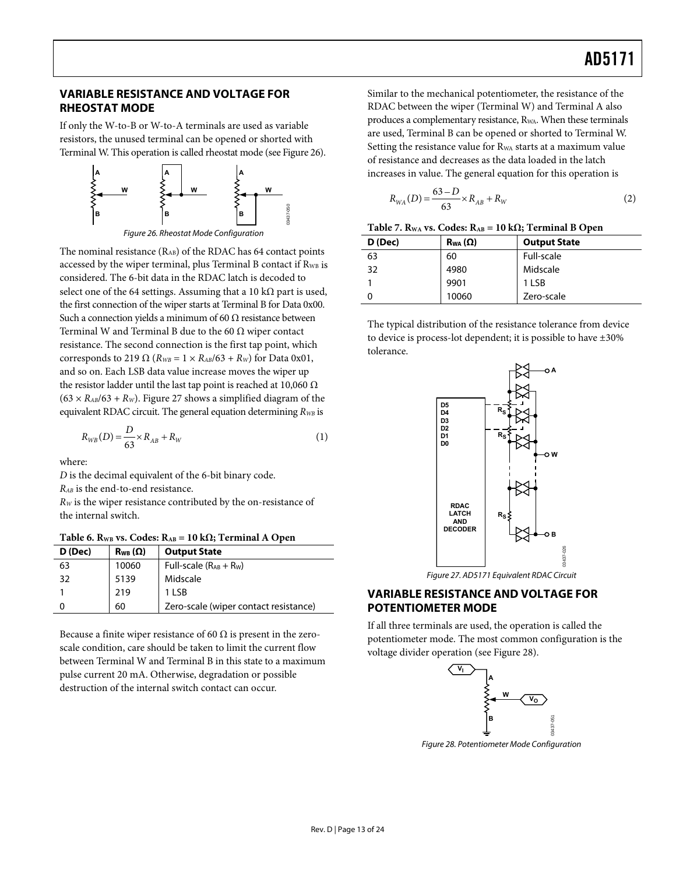### <span id="page-12-0"></span>**VARIABLE RESISTANCE AND VOLTAGE FOR RHEOSTAT MODE**

If only the W-to-B or W-to-A terminals are used as variable resistors, the unused terminal can be opened or shorted with Terminal W. This operation is called rheostat mode (see [Figure 26\)](#page-12-1).



<span id="page-12-1"></span>The nominal resistance  $(R_{AB})$  of the RDAC has 64 contact points accessed by the wiper terminal, plus Terminal B contact if R<sub>WB</sub> is considered. The 6-bit data in the RDAC latch is decoded to select one of the 64 settings. Assuming that a 10 k $\Omega$  part is used, the first connection of the wiper starts at Terminal B for Data 0x00. Such a connection yields a minimum of 60 Ω resistance between Terminal W and Terminal B due to the 60  $\Omega$  wiper contact resistance. The second connection is the first tap point, which corresponds to 219  $\Omega$  ( $R_{WB} = 1 \times R_{AB}/63 + R_{W}$ ) for Data 0x01, and so on. Each LSB data value increase moves the wiper up the resistor ladder until the last tap point is reached at 10,060  $Ω$  $(63 \times R_{AB}/63 + R_W)$ . [Figure 27](#page-12-2) shows a simplified diagram of the equivalent RDAC circuit. The general equation determining  $R_{WB}$  is

$$
R_{WB}(D) = \frac{D}{63} \times R_{AB} + R_{W}
$$
 (1)

where:

*D* is the decimal equivalent of the 6-bit binary code.

*RAB* is the end-to-end resistance.

*RW* is the wiper resistance contributed by the on-resistance of the internal switch.

<span id="page-12-2"></span>

| D (Dec) | $R_{WB}(\Omega)$ | <b>Output State</b>                   |
|---------|------------------|---------------------------------------|
| 63      | 10060            | Full-scale $(R_{AB} + R_W)$           |
| 32      | 5139             | Midscale                              |
|         | 219              | 1 LSB                                 |
|         | 60               | Zero-scale (wiper contact resistance) |

<span id="page-12-3"></span>Because a finite wiper resistance of 60  $\Omega$  is present in the zeroscale condition, care should be taken to limit the current flow between Terminal W and Terminal B in this state to a maximum pulse current 20 mA. Otherwise, degradation or possible destruction of the internal switch contact can occur.

Similar to the mechanical potentiometer, the resistance of the RDAC between the wiper (Terminal W) and Terminal A also produces a complementary resistance, R<sub>WA</sub>. When these terminals are used, Terminal B can be opened or shorted to Terminal W. Setting the resistance value for R<sub>WA</sub> starts at a maximum value of resistance and decreases as the data loaded in the latch increases in value. The general equation for this operation is

$$
R_{WA}(D) = \frac{63 - D}{63} \times R_{AB} + R_W
$$
 (2)

| D (Dec) | $R_{WA}(\Omega)$ | <b>Output State</b> |
|---------|------------------|---------------------|
| 63      | 60               | Full-scale          |
| 32      | 4980             | Midscale            |
|         | 9901             | 1 LSB               |
|         | 10060            | Zero-scale          |

The typical distribution of the resistance tolerance from device to device is process-lot dependent; it is possible to have ±30% tolerance.



Figure 27. AD5171 Equivalent RDAC Circuit

### **VARIABLE RESISTANCE AND VOLTAGE FOR POTENTIOMETER MODE**

If all three terminals are used, the operation is called the potentiometer mode. The most common configuration is the voltage divider operation (see [Figure 28\)](#page-12-3).



Figure 28. Potentiometer Mode Configuration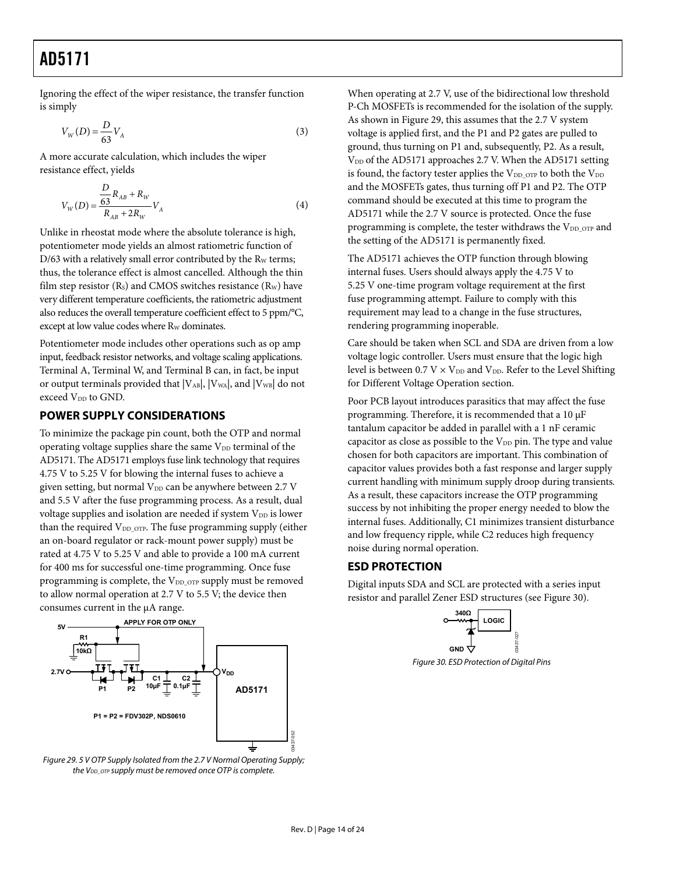<span id="page-13-0"></span>Ignoring the effect of the wiper resistance, the transfer function is simply

$$
V_W(D) = \frac{D}{63} V_A
$$
\n<sup>(3)</sup>

A more accurate calculation, which includes the wiper resistance effect, yields

$$
V_{W}(D) = \frac{\frac{D}{63}R_{AB} + R_{W}}{R_{AB} + 2R_{W}}V_{A}
$$
\n(4)

Unlike in rheostat mode where the absolute tolerance is high, potentiometer mode yields an almost ratiometric function of  $D/63$  with a relatively small error contributed by the R<sub>W</sub> terms; thus, the tolerance effect is almost cancelled. Although the thin film step resistor  $(R<sub>s</sub>)$  and CMOS switches resistance  $(R<sub>w</sub>)$  have very different temperature coefficients, the ratiometric adjustment also reduces the overall temperature coefficient effect to 5 ppm/°C, except at low value codes where R<sub>W</sub> dominates.

Potentiometer mode includes other operations such as op amp input, feedback resistor networks, and voltage scaling applications. Terminal A, Terminal W, and Terminal B can, in fact, be input or output terminals provided that  $|V_{AB}|$ ,  $|V_{WA}|$ , and  $|V_{WB}|$  do not exceed V<sub>DD</sub> to GND.

### <span id="page-13-1"></span>**POWER SUPPLY CONSIDERATIONS**

To minimize the package pin count, both the OTP and normal operating voltage supplies share the same  $V_{DD}$  terminal of the AD5171. The AD5171 employs fuse link technology that requires 4.75 V to 5.25 V for blowing the internal fuses to achieve a given setting, but normal V<sub>DD</sub> can be anywhere between 2.7 V and 5.5 V after the fuse programming process. As a result, dual voltage supplies and isolation are needed if system V<sub>DD</sub> is lower than the required  $V_{DD\_OTP}$ . The fuse programming supply (either an on-board regulator or rack-mount power supply) must be rated at 4.75 V to 5.25 V and able to provide a 100 mA current for 400 ms for successful one-time programming. Once fuse programming is complete, the V<sub>DD\_OTP</sub> supply must be removed to allow normal operation at 2.7 V to 5.5 V; the device then consumes current in the μA range.

<span id="page-13-3"></span>

<span id="page-13-2"></span>Figure 29. 5 V OTP Supply Isolated from the 2.7 V Normal Operating Supply; the  $V_{DD\_OTP}$  supply must be removed once OTP is complete.

When operating at 2.7 V, use of the bidirectional low threshold P-Ch MOSFETs is recommended for the isolation of the supply. As shown in [Figure 29,](#page-13-2) this assumes that the 2.7 V system voltage is applied first, and the P1 and P2 gates are pulled to ground, thus turning on P1 and, subsequently, P2. As a result, V<sub>DD</sub> of the AD5171 approaches 2.7 V. When the AD5171 setting is found, the factory tester applies the  $V_{DD\_OTP}$  to both the  $V_{DD}$ and the MOSFETs gates, thus turning off P1 and P2. The OTP command should be executed at this time to program the AD5171 while the 2.7 V source is protected. Once the fuse programming is complete, the tester withdraws the  $V_{DD\_OTP}$  and the setting of the AD5171 is permanently fixed.

The AD5171 achieves the OTP function through blowing internal fuses. Users should always apply the 4.75 V to 5.25 V one-time program voltage requirement at the first fuse programming attempt. Failure to comply with this requirement may lead to a change in the fuse structures, rendering programming inoperable.

Care should be taken when SCL and SDA are driven from a low voltage logic controller. Users must ensure that the logic high level is between 0.7 V  $\times$  V<sub>DD</sub> and V<sub>DD</sub>. Refer to the Level Shifting [for Different Voltage Operation](#page-18-1) section.

Poor PCB layout introduces parasitics that may affect the fuse programming. Therefore, it is recommended that a 10 μF tantalum capacitor be added in parallel with a 1 nF ceramic capacitor as close as possible to the V<sub>DD</sub> pin. The type and value chosen for both capacitors are important. This combination of capacitor values provides both a fast response and larger supply current handling with minimum supply droop during transients. As a result, these capacitors increase the OTP programming success by not inhibiting the proper energy needed to blow the internal fuses. Additionally, C1 minimizes transient disturbance and low frequency ripple, while C2 reduces high frequency noise during normal operation.

### **ESD PROTECTION**

Digital inputs SDA and SCL are protected with a series input resistor and parallel Zener ESD structures (see [Figure 30](#page-13-3)).



Figure 30. ESD Protection of Digital Pins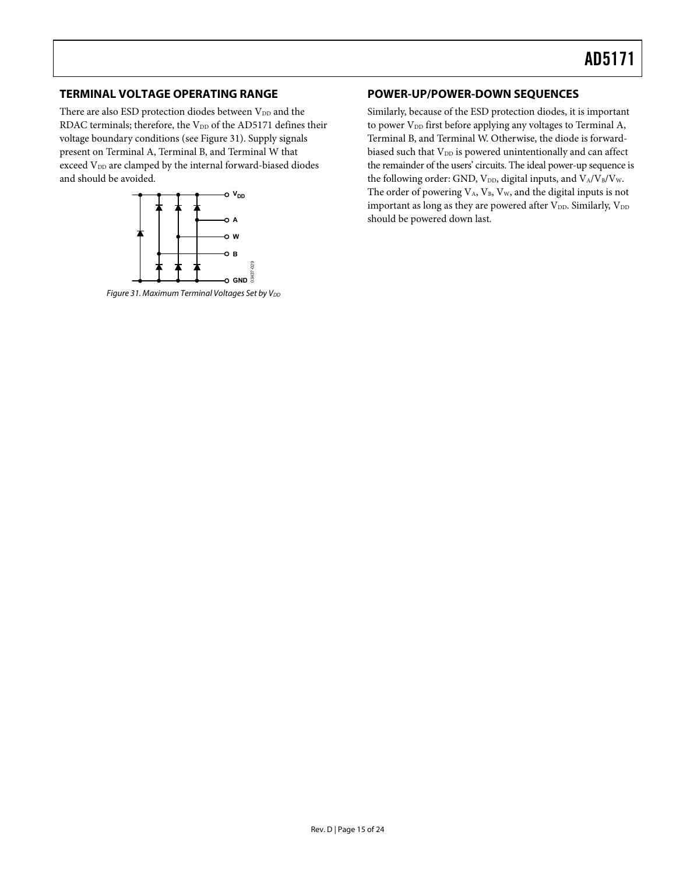### <span id="page-14-0"></span>**TERMINAL VOLTAGE OPERATING RANGE POWER-UP/POWER-DOWN SEQUENCES**

There are also ESD protection diodes between  $V_{DD}$  and the RDAC terminals; therefore, the  $V_{DD}$  of the AD5171 defines their voltage boundary conditions (see [Figure 31](#page-14-1)). Supply signals present on Terminal A, Terminal B, and Terminal W that exceed V<sub>DD</sub> are clamped by the internal forward-biased diodes and should be avoided.



<span id="page-14-1"></span>Figure 31. Maximum Terminal Voltages Set by V<sub>DD</sub>

Similarly, because of the ESD protection diodes, it is important to power  $V_{DD}$  first before applying any voltages to Terminal A, Terminal B, and Terminal W. Otherwise, the diode is forwardbiased such that V<sub>DD</sub> is powered unintentionally and can affect the remainder of the users' circuits. The ideal power-up sequence is the following order: GND,  $V_{DD}$ , digital inputs, and  $V_A/V_B/V_W$ . The order of powering  $V_A$ ,  $V_B$ ,  $V_W$ , and the digital inputs is not important as long as they are powered after  $V_{DD}$ . Similarly,  $V_{DD}$ should be powered down last.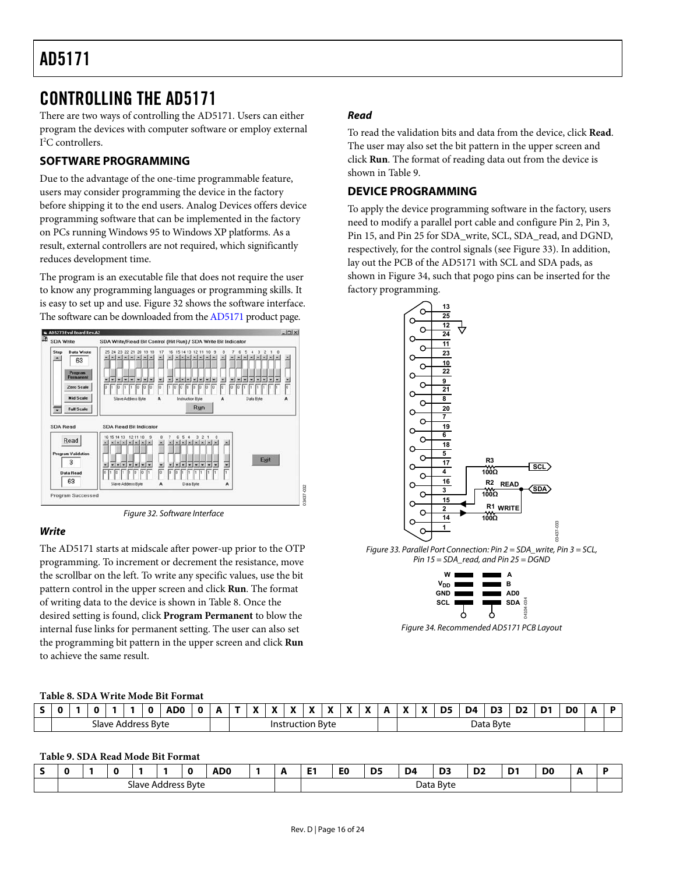### <span id="page-15-0"></span>CONTROLLING THE AD5171

There are two ways of controlling the AD5171. Users can either program the devices with computer software or employ external I 2 C controllers.

### **SOFTWARE PROGRAMMING**

Due to the advantage of the one-time programmable feature, users may consider programming the device in the factory before shipping it to the end users. Analog Devices offers device programming software that can be implemented in the factory on PCs running Windows 95 to Windows XP platforms. As a result, external controllers are not required, which significantly reduces development time.

The program is an executable file that does not require the user to know any programming languages or programming skills. It is easy to set up and use. [Figure 32](#page-15-3) shows the software interface. The software can be downloaded from the [AD5171](http://www.analog.com/AD5171) product page.



Figure 32. Software Interface

### <span id="page-15-3"></span>**Write**

<span id="page-15-4"></span>The AD5171 starts at midscale after power-up prior to the OTP programming. To increment or decrement the resistance, move the scrollbar on the left. To write any specific values, use the bit pattern control in the upper screen and click **Run**. The format of writing data to the device is shown in [Table 8](#page-15-1). Once the desired setting is found, click **Program Permanent** to blow the internal fuse links for permanent setting. The user can also set the programming bit pattern in the upper screen and click **Run** to achieve the same result.

### **Read**

To read the validation bits and data from the device, click **Read**. The user may also set the bit pattern in the upper screen and click **Run**. The format of reading data out from the device is shown in [Table 9](#page-15-2).

### **DEVICE PROGRAMMING**

To apply the device programming software in the factory, users need to modify a parallel port cable and configure Pin 2, Pin 3, Pin 15, and Pin 25 for SDA\_write, SCL, SDA\_read, and DGND, respectively, for the control signals (see [Figure 33](#page-15-4)). In addition, lay out the PCB of the AD5171 with SCL and SDA pads, as shown in [Figure 34](#page-15-5), such that pogo pins can be inserted for the factory programming.



Figure 33. Parallel Port Connection: Pin 2 = SDA\_write, Pin 3 = SCL, Pin 15 = SDA\_read, and Pin 25 = DGND



Figure 34. Recommended AD5171 PCB Layout

#### <span id="page-15-5"></span>**Table 8. SDA Write Mode Bit Format**

<span id="page-15-1"></span>

| -                          |  |  |  |  |  | ADO.                                   |  |  | $\mathbf{v}$ | $\blacksquare$<br>A | $\mathbf{v}$<br>$\cdot$ | $\mathbf{v}$ | $\mathbf{v}$<br>Δ | $\bullet$ | $\mathbf{v}$<br>A | "<br>. . | $\mathbf{v}$ | $\bullet$ | D <sub>5</sub> | -<br>D4 | D3<br>-- | r.<br>שע<br>the contract of the contract of the | D1 | D <sub>0</sub> |  |
|----------------------------|--|--|--|--|--|----------------------------------------|--|--|--------------|---------------------|-------------------------|--------------|-------------------|-----------|-------------------|----------|--------------|-----------|----------------|---------|----------|-------------------------------------------------|----|----------------|--|
| Slave<br>Byte<br>Address ` |  |  |  |  |  | -<br>tion Byte<br>----<br>Inst<br>ΊUC. |  |  |              |                     |                         | Data Byte    |                   |           |                   |          |              |           |                |         |          |                                                 |    |                |  |

03437-032

#### **Table 9. SDA Read Mode Bit Format**

<span id="page-15-2"></span>

|                                                      |  |  |  |  |  | ADC |  | . . | E <sub>0</sub> | D <sub>5</sub> | D <sub>4</sub> | D <sub>3</sub> | --<br>້ | D1<br>- | D <sub>0</sub> |  |
|------------------------------------------------------|--|--|--|--|--|-----|--|-----|----------------|----------------|----------------|----------------|---------|---------|----------------|--|
| : Byte<br>Slave<br>ን Address<br>$\sim$ $\sim$<br>$-$ |  |  |  |  |  |     |  |     |                | Data Byte      |                |                |         |         |                |  |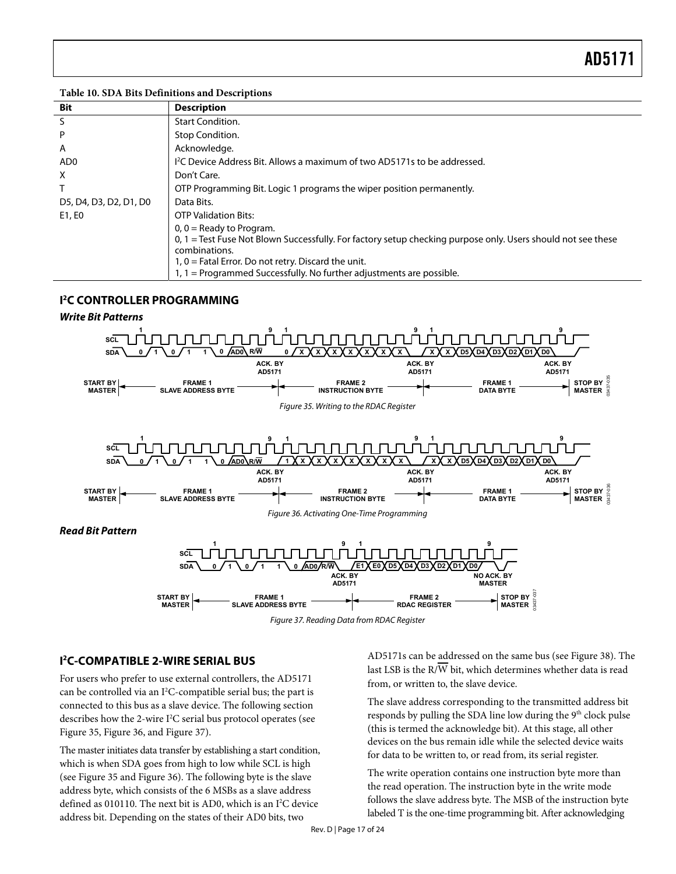#### <span id="page-16-0"></span>**Table 10. SDA Bits Definitions and Descriptions**

| Bit                    | <b>Description</b>                                                                                             |
|------------------------|----------------------------------------------------------------------------------------------------------------|
| S                      | <b>Start Condition.</b>                                                                                        |
| P                      | Stop Condition.                                                                                                |
| A                      | Acknowledge.                                                                                                   |
| AD <sub>0</sub>        | <sup>12</sup> C Device Address Bit. Allows a maximum of two AD5171s to be addressed.                           |
| X                      | Don't Care.                                                                                                    |
|                        | OTP Programming Bit. Logic 1 programs the wiper position permanently.                                          |
| D5, D4, D3, D2, D1, D0 | Data Bits.                                                                                                     |
| E1, E0                 | <b>OTP Validation Bits:</b>                                                                                    |
|                        | $0, 0$ = Ready to Program.                                                                                     |
|                        | $0, 1$ = Test Fuse Not Blown Successfully. For factory setup checking purpose only. Users should not see these |
|                        | combinations.                                                                                                  |
|                        | $1, 0$ = Fatal Error. Do not retry. Discard the unit.                                                          |
|                        | $1, 1$ = Programmed Successfully. No further adjustments are possible.                                         |

### **I 2 C CONTROLLER PROGRAMMING**

<span id="page-16-1"></span>

### <span id="page-16-3"></span><span id="page-16-2"></span>**I 2 C-COMPATIBLE 2-WIRE SERIAL BUS**

For users who prefer to use external controllers, the AD5171 can be controlled via an I<sup>2</sup>C-compatible serial bus; the part is connected to this bus as a slave device. The following section describes how the 2-wire I<sup>2</sup>C serial bus protocol operates (see [Figure 35](#page-16-1), [Figure 36](#page-16-2), and [Figure 37\)](#page-16-3).

The master initiates data transfer by establishing a start condition, which is when SDA goes from high to low while SCL is high (see [Figure 35](#page-16-1) and [Figure 36\)](#page-16-2). The following byte is the slave address byte, which consists of the 6 MSBs as a slave address defined as 010110. The next bit is AD0, which is an  $I<sup>2</sup>C$  device address bit. Depending on the states of their AD0 bits, two

AD5171s can be addressed on the same bus (see [Figure 38\)](#page-17-1). The last LSB is the  $R/\overline{W}$  bit, which determines whether data is read from, or written to, the slave device.

The slave address corresponding to the transmitted address bit responds by pulling the SDA line low during the 9<sup>th</sup> clock pulse (this is termed the acknowledge bit). At this stage, all other devices on the bus remain idle while the selected device waits for data to be written to, or read from, its serial register.

The write operation contains one instruction byte more than the read operation. The instruction byte in the write mode follows the slave address byte. The MSB of the instruction byte labeled T is the one-time programming bit. After acknowledging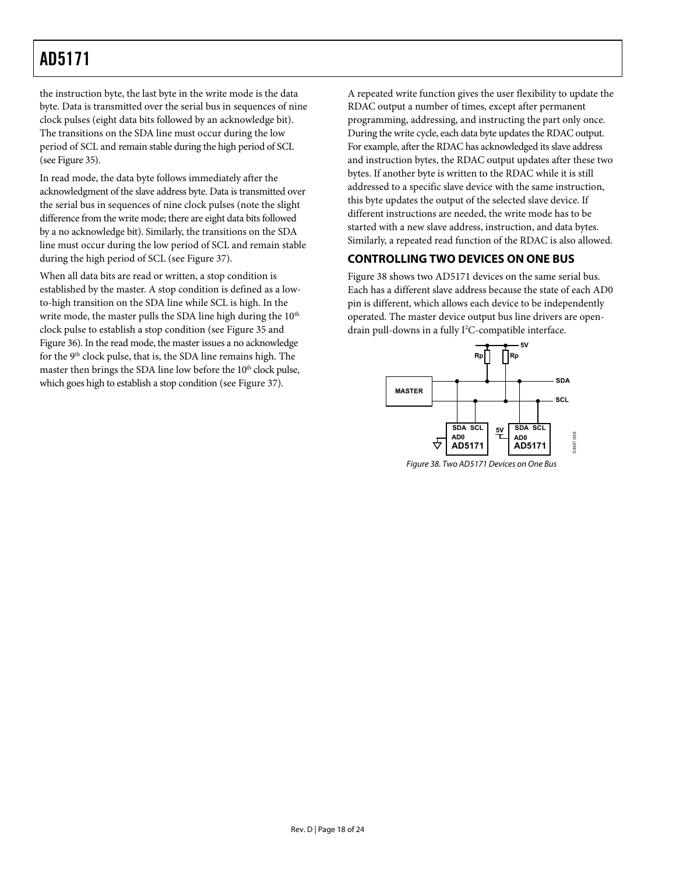<span id="page-17-0"></span>the instruction byte, the last byte in the write mode is the data byte. Data is transmitted over the serial bus in sequences of nine clock pulses (eight data bits followed by an acknowledge bit). The transitions on the SDA line must occur during the low period of SCL and remain stable during the high period of SCL (see [Figure 35\)](#page-16-1).

In read mode, the data byte follows immediately after the acknowledgment of the slave address byte. Data is transmitted over the serial bus in sequences of nine clock pulses (note the slight difference from the write mode; there are eight data bits followed by a no acknowledge bit). Similarly, the transitions on the SDA line must occur during the low period of SCL and remain stable during the high period of SCL (see [Figure 37](#page-16-3)).

<span id="page-17-1"></span>When all data bits are read or written, a stop condition is established by the master. A stop condition is defined as a lowto-high transition on the SDA line while SCL is high. In the write mode, the master pulls the SDA line high during the  $10<sup>th</sup>$ clock pulse to establish a stop condition (see [Figure 35](#page-16-1) and [Figure 36\)](#page-16-2). In the read mode, the master issues a no acknowledge for the 9<sup>th</sup> clock pulse, that is, the SDA line remains high. The master then brings the SDA line low before the 10<sup>th</sup> clock pulse, which goes high to establish a stop condition (see [Figure 37](#page-16-3)).

A repeated write function gives the user flexibility to update the RDAC output a number of times, except after permanent programming, addressing, and instructing the part only once. During the write cycle, each data byte updates the RDAC output. For example, after the RDAC has acknowledged its slave address and instruction bytes, the RDAC output updates after these two bytes. If another byte is written to the RDAC while it is still addressed to a specific slave device with the same instruction, this byte updates the output of the selected slave device. If different instructions are needed, the write mode has to be started with a new slave address, instruction, and data bytes. Similarly, a repeated read function of the RDAC is also allowed.

### **CONTROLLING TWO DEVICES ON ONE BUS**

[Figure 38](#page-17-1) shows two AD5171 devices on the same serial bus. Each has a different slave address because the state of each AD0 pin is different, which allows each device to be independently operated. The master device output bus line drivers are opendrain pull-downs in a fully I<sup>2</sup>C-compatible interface.



Figure 38. Two AD5171 Devices on One Bus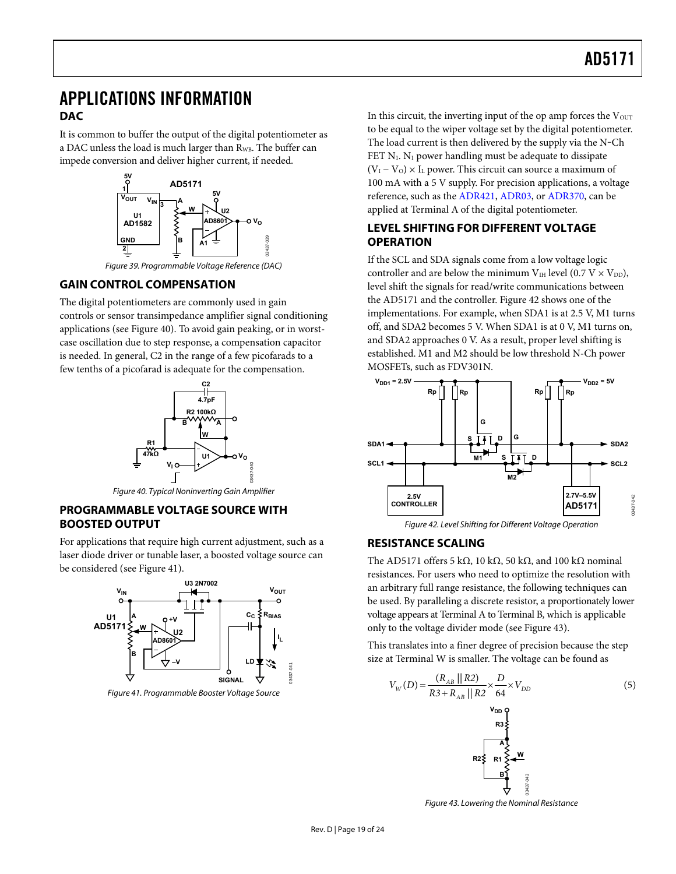### <span id="page-18-0"></span>APPLICATIONS INFORMATION **DAC**

It is common to buffer the output of the digital potentiometer as a DAC unless the load is much larger than R<sub>WB</sub>. The buffer can impede conversion and deliver higher current, if needed.



Figure 39. Programmable Voltage Reference (DAC)

### <span id="page-18-1"></span>**GAIN CONTROL COMPENSATION**

The digital potentiometers are commonly used in gain controls or sensor transimpedance amplifier signal conditioning applications (see [Figure 40](#page-18-2)). To avoid gain peaking, or in worstcase oscillation due to step response, a compensation capacitor is needed. In general, C2 in the range of a few picofarads to a few tenths of a picofarad is adequate for the compensation.



Figure 40. Typical Noninverting Gain Amplifier

### <span id="page-18-4"></span><span id="page-18-2"></span>**PROGRAMMABLE VOLTAGE SOURCE WITH BOOSTED OUTPUT**

For applications that require high current adjustment, such as a laser diode driver or tunable laser, a boosted voltage source can be considered (see [Figure 41](#page-18-3)).



<span id="page-18-5"></span><span id="page-18-3"></span>Figure 41. Programmable Booster Voltage Source

In this circuit, the inverting input of the op amp forces the Vour to be equal to the wiper voltage set by the digital potentiometer. The load current is then delivered by the supply via the N-Ch FET  $N_1$ .  $N_1$  power handling must be adequate to dissipate  $(V_{I} - V_{O}) \times I_{L}$  power. This circuit can source a maximum of 100 mA with a 5 V supply. For precision applications, a voltage reference, such as the [ADR421,](http://www.analog.com/ADR421) [ADR03](http://www.analog.com/ADR03), or [ADR370](http://www.analog.com/ADR370), can be applied at Terminal A of the digital potentiometer.

### **LEVEL SHIFTING FOR DIFFERENT VOLTAGE OPERATION**

If the SCL and SDA signals come from a low voltage logic controller and are below the minimum V $_{\text{IH}}$  level (0.7 V  $\times$  V<sub>DD</sub>), level shift the signals for read/write communications between the AD5171 and the controller. [Figure 42](#page-18-4) shows one of the implementations. For example, when SDA1 is at 2.5 V, M1 turns off, and SDA2 becomes 5 V. When SDA1 is at 0 V, M1 turns on, and SDA2 approaches 0 V. As a result, proper level shifting is established. M1 and M2 should be low threshold N-Ch power MOSFETs, such as FDV301N.



### **RESISTANCE SCALING**

The AD5171 offers 5 kΩ, 10 kΩ, 50 kΩ, and 100 kΩ nominal resistances. For users who need to optimize the resolution with an arbitrary full range resistance, the following techniques can be used. By paralleling a discrete resistor, a proportionately lower voltage appears at Terminal A to Terminal B, which is applicable only to the voltage divider mode (see [Figure 43](#page-18-5)).

This translates into a finer degree of precision because the step size at Terminal W is smaller. The voltage can be found as

$$
V_{W}(D) = \frac{(R_{AB} || R2)}{R3 + R_{AB} || R2} \times \frac{D}{64} \times V_{DD}
$$
\n
$$
V_{DD} \text{Y}_{DD}
$$
\n
$$
R3 \frac{1}{5}
$$
\n
$$
R2 \frac{1}{5}
$$
\n
$$
R3 \frac{1}{5}
$$
\n
$$
R4 \frac{1}{5}
$$
\n
$$
R5 \frac{1}{5}
$$
\n
$$
R4 \frac{1}{5}
$$
\n
$$
R5 \frac{1}{5}
$$
\n
$$
R6 \frac{1}{5}
$$
\n
$$
R7 \frac{1}{5}
$$
\n
$$
R8 \frac{1}{5}
$$
\n
$$
R8 \frac{1}{5}
$$
\n
$$
R9 \frac{1}{5}
$$
\n
$$
R1 \frac{1}{5}
$$
\n
$$
R3 \frac{1}{5}
$$
\n
$$
R4 \frac{1}{5}
$$
\n
$$
R5 \frac{1}{5}
$$
\n
$$
R8 \frac{1}{5}
$$
\n
$$
R9 \frac{1}{5}
$$
\n
$$
R1 \frac{1}{5}
$$
\n
$$
R2 \frac{1}{5}
$$
\n
$$
R3 \frac{1}{5}
$$
\n
$$
R4 \frac{1}{5}
$$
\n
$$
R5 \frac{1}{5}
$$
\n
$$
R6 \frac{1}{5}
$$
\n
$$
R8 \frac{1}{5}
$$
\n
$$
R9 \frac{1}{5}
$$
\n
$$
R1 \frac{1}{5}
$$
\n
$$
R2 \frac{1}{5}
$$
\n
$$
R3 \frac{1}{5}
$$
\n
$$
R4 \frac{1}{5}
$$
\n
$$
R5 \frac{1}{5}
$$
\n
$$
R8 \frac{1}{5}
$$
\n
$$
R9 \frac{1}{5}
$$
\n
$$
R1 \frac{1}{5}
$$
\n
$$
R2 \frac{1}{5}
$$
\n
$$
R5 \frac{1}{5}
$$
\n
$$
R8 \frac{1}{5}
$$
\n
$$
R9 \frac{1}{5}
$$
\n

Figure 43. Lowering the Nominal Resistance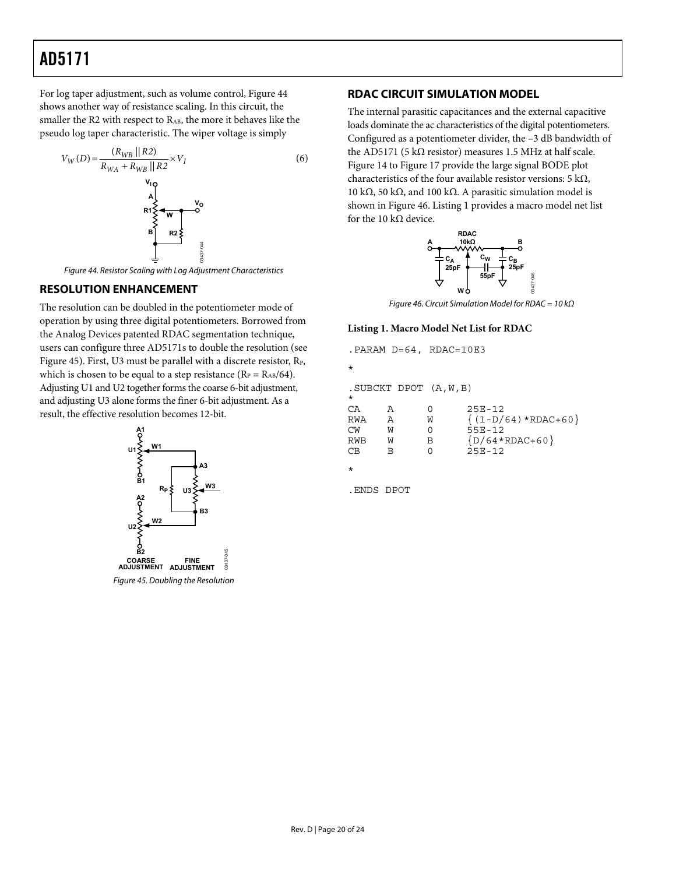<span id="page-19-0"></span>For log taper adjustment, such as volume control, [Figure 44](#page-19-1) shows another way of resistance scaling. In this circuit, the smaller the R2 with respect to RAB, the more it behaves like the pseudo log taper characteristic. The wiper voltage is simply



Figure 44. Resistor Scaling with Log Adjustment Characteristics

### <span id="page-19-1"></span>**RESOLUTION ENHANCEMENT**

<span id="page-19-3"></span>The resolution can be doubled in the potentiometer mode of operation by using three digital potentiometers. Borrowed from the Analog Devices patented RDAC segmentation technique, users can configure three AD5171s to double the resolution (see [Figure 45](#page-19-2)). First, U3 must be parallel with a discrete resistor,  $R_{P}$ , which is chosen to be equal to a step resistance ( $R_P = R_{AB}/64$ ). Adjusting U1 and U2 together forms the coarse 6-bit adjustment, and adjusting U3 alone forms the finer 6-bit adjustment. As a result, the effective resolution becomes 12-bit.

<span id="page-19-2"></span>

### **RDAC CIRCUIT SIMULATION MODEL**

The internal parasitic capacitances and the external capacitive loads dominate the ac characteristics of the digital potentiometers. Configured as a potentiometer divider, the –3 dB bandwidth of the AD5171 (5 kΩ resistor) measures 1.5 MHz at half scale. [Figure 14](#page-8-0) to [Figure 17](#page-9-0) provide the large signal BODE plot characteristics of the four available resistor versions: 5 k $\Omega$ , 10 kΩ, 50 kΩ, and 100 kΩ. A parasitic simulation model is shown in [Figure 46](#page-19-3). Listing 1 provides a macro model net list for the 10 k $\Omega$  device.



Figure 46. Circuit Simulation Model for RDAC = 10 kΩ

#### **Listing 1. Macro Model Net List for RDAC**

|         |              | . PARAM D=64, RDAC=10E3    |                        |
|---------|--------------|----------------------------|------------------------|
| $\star$ |              |                            |                        |
| $\star$ |              | $.SUBCKT$ DPOT $(A, W, B)$ |                        |
| CA      | Α            | O                          | $25E - 12$             |
| RWA     | $\mathbb{A}$ | W                          | $\{(1-D/64)*RDAC+60\}$ |
| СW      | W            | 0                          | $55E - 12$             |
| RWB     | W            | B                          | $(D/64*RDAC+60)$       |
| CВ      | В            | O                          | $25E - 12$             |
| $\star$ |              |                            |                        |

.ENDS DPOT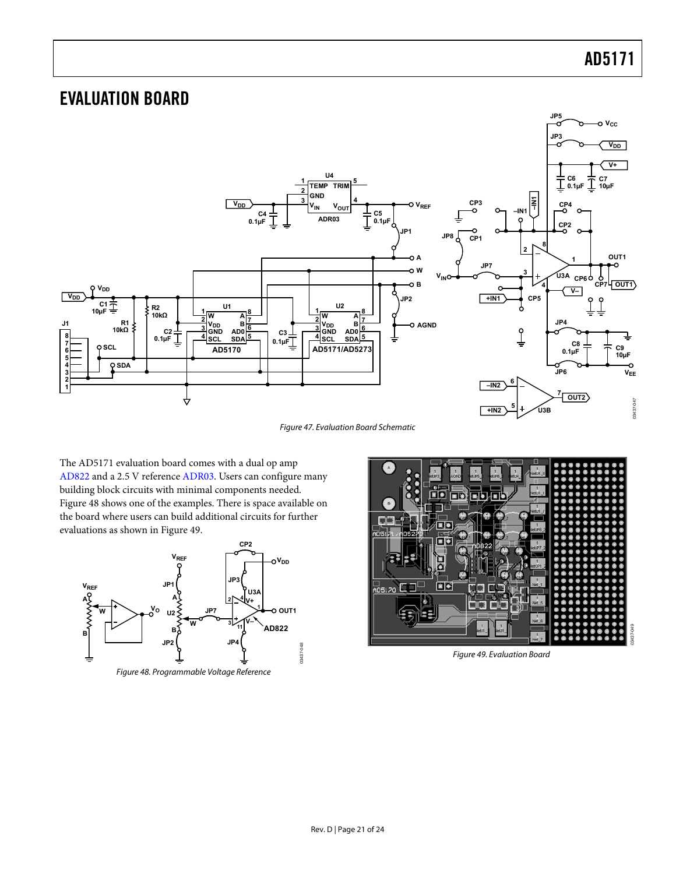### <span id="page-20-0"></span>EVALUATION BOARD



Figure 47. Evaluation Board Schematic

The AD5171 evaluation board comes with a dual op amp [AD822](http://www.analog.com/AD822) and a 2.5 V reference [ADR03.](http://www.analog.com/ADR03) Users can configure many building block circuits with minimal components needed. [Figure 48](#page-20-1) shows one of the examples. There is space available on the board where users can build additional circuits for further evaluations as shown in [Figure 49](#page-20-2).

<span id="page-20-2"></span><span id="page-20-1"></span>



Figure 49. Evaluation Board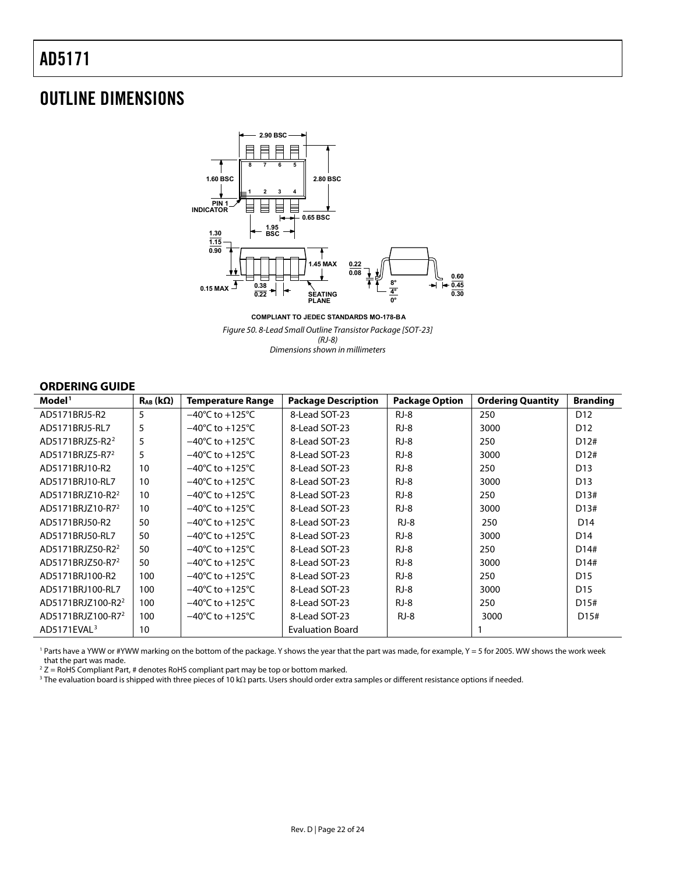### <span id="page-21-0"></span>OUTLINE DIMENSIONS



**COMPLIANT TO JEDEC STANDARDS MO-178-BA**

Figure 50. 8-Lead Small Outline Transistor Package [SOT-23] (RJ-8) Dimensions shown in millimeters

#### **ORDERING GUIDE**

<span id="page-21-1"></span>

| Model <sup>1</sup>            | $R_{AB}$ (k $\Omega$ ) | <b>Temperature Range</b>            | <b>Package Description</b> | <b>Package Option</b> | <b>Ordering Quantity</b> | <b>Branding</b>   |
|-------------------------------|------------------------|-------------------------------------|----------------------------|-----------------------|--------------------------|-------------------|
| AD5171BRJ5-R2                 | 5                      | $-40^{\circ}$ C to $+125^{\circ}$ C | 8-Lead SOT-23              | $RJ-8$                | 250                      | D <sub>12</sub>   |
| AD5171BRJ5-RL7                | 5                      | $-40^{\circ}$ C to $+125^{\circ}$ C | 8-Lead SOT-23              | $RJ-8$                | 3000                     | D <sub>12</sub>   |
| AD5171BRJZ5-R2 <sup>2</sup>   | 5                      | $-40^{\circ}$ C to $+125^{\circ}$ C | 8-Lead SOT-23              | $RJ-8$                | 250                      | D12#              |
| AD5171BRJZ5-R7 <sup>2</sup>   | 5                      | $-40^{\circ}$ C to $+125^{\circ}$ C | 8-Lead SOT-23              | $RJ-8$                | 3000                     | D12#              |
| AD5171BRJ10-R2                | 10                     | $-40^{\circ}$ C to $+125^{\circ}$ C | 8-Lead SOT-23              | $RJ-8$                | 250                      | D <sub>13</sub>   |
| AD5171BRJ10-RL7               | 10                     | $-40^{\circ}$ C to $+125^{\circ}$ C | 8-Lead SOT-23              | $RJ-8$                | 3000                     | D <sub>13</sub>   |
| AD5171BRJZ10-R2 <sup>2</sup>  | 10                     | $-40^{\circ}$ C to $+125^{\circ}$ C | 8-Lead SOT-23              | $RJ-8$                | 250                      | D13#              |
| AD5171BRJZ10-R7 <sup>2</sup>  | 10                     | $-40^{\circ}$ C to $+125^{\circ}$ C | 8-Lead SOT-23              | $RJ-8$                | 3000                     | D13#              |
| AD5171BRJ50-R2                | 50                     | $-40^{\circ}$ C to $+125^{\circ}$ C | 8-Lead SOT-23              | $RJ-8$                | 250                      | D <sub>14</sub>   |
| AD5171BRJ50-RL7               | 50                     | $-40^{\circ}$ C to $+125^{\circ}$ C | 8-Lead SOT-23              | $RJ-8$                | 3000                     | D <sub>14</sub>   |
| AD5171BRJZ50-R2 <sup>2</sup>  | 50                     | $-40^{\circ}$ C to $+125^{\circ}$ C | 8-Lead SOT-23              | $RJ-8$                | 250                      | D14#              |
| AD5171BRJZ50-R7 <sup>2</sup>  | 50                     | $-40^{\circ}$ C to $+125^{\circ}$ C | 8-Lead SOT-23              | $RJ-8$                | 3000                     | D14#              |
| AD5171BRJ100-R2               | 100                    | $-40^{\circ}$ C to $+125^{\circ}$ C | 8-Lead SOT-23              | $RJ-8$                | 250                      | D <sub>15</sub>   |
| AD5171BRJ100-RL7              | 100                    | $-40^{\circ}$ C to $+125^{\circ}$ C | 8-Lead SOT-23              | $RJ-8$                | 3000                     | D <sub>15</sub>   |
| AD5171BRJZ100-R2 <sup>2</sup> | 100                    | $-40^{\circ}$ C to $+125^{\circ}$ C | 8-Lead SOT-23              | $RJ-8$                | 250                      | D <sub>15</sub> # |
| AD5171BRJZ100-R7 <sup>2</sup> | 100                    | $-40^{\circ}$ C to $+125^{\circ}$ C | 8-Lead SOT-23              | $RJ-8$                | 3000                     | D <sub>15</sub> # |
| AD5171EVAL <sup>3</sup>       | 10                     |                                     | <b>Evaluation Board</b>    |                       |                          |                   |

1 Parts have a YWW or #YWW marking on the bottom of the package. Y shows the year that the part was made, for example, Y = 5 for 2005. WW shows the work week that the part was made.

 $2 Z =$  RoHS Compliant Part, # denotes RoHS compliant part may be top or bottom marked.

3 The evaluation board is shipped with three pieces of 10 kΩ parts. Users should order extra samples or different resistance options if needed.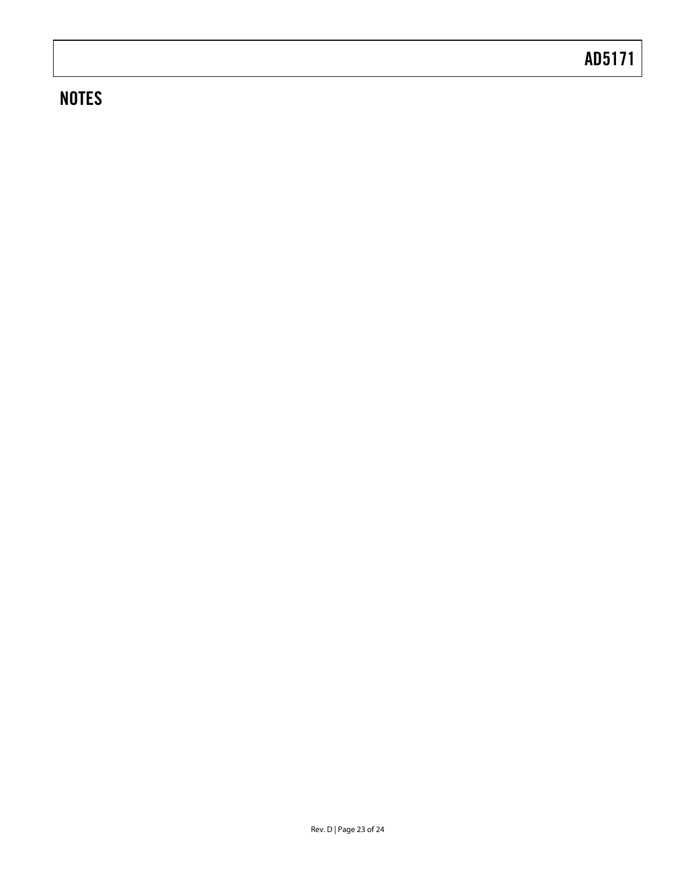## **NOTES**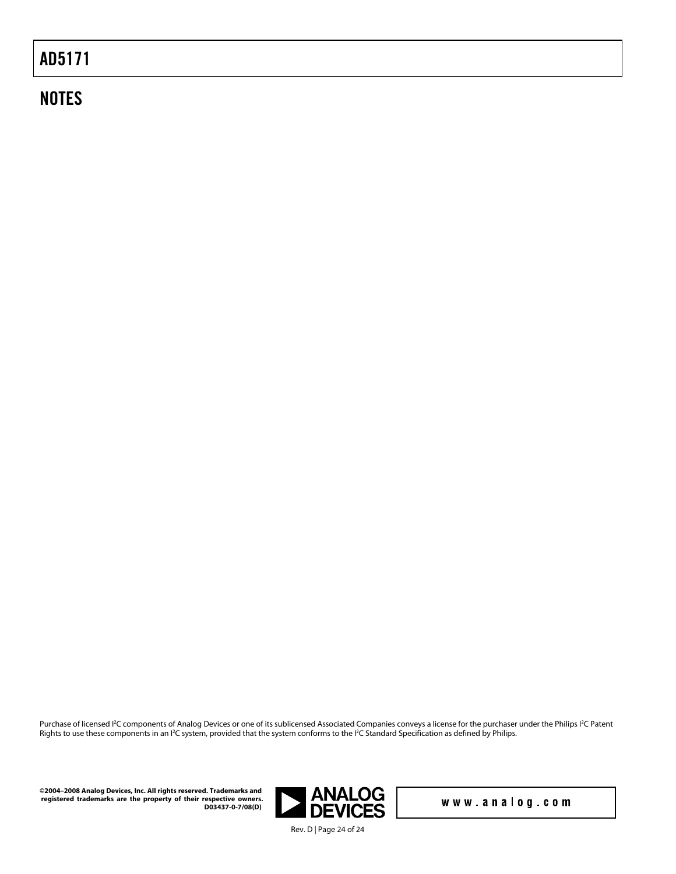### **NOTES**

Purchase of licensed I<sup>2</sup>C components of Analog Devices or one of its sublicensed Associated Companies conveys a license for the purchaser under the Philips I<sup>2</sup>C Patent Rights to use these components in an I<sup>2</sup>C system, provided that the system conforms to the I<sup>2</sup>C Standard Specification as defined by Philips.

**©2004–2008 Analog Devices, Inc. All rights reserved. Trademarks and registered trademarks are the property of their respective owners. D03437-0-7/08(D)** 



www.analog.com

Rev. D | Page 24 of 24